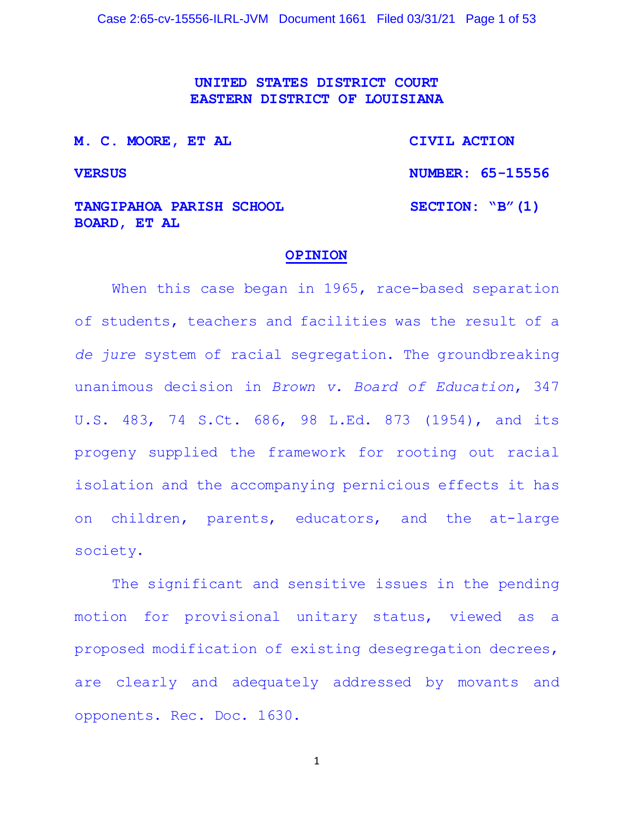**UNITED STATES DISTRICT COURT EASTERN DISTRICT OF LOUISIANA**

| M. C. MOORE, ET AL                                     | CIVIL ACTION       |
|--------------------------------------------------------|--------------------|
| <b>VERSUS</b>                                          | NUMBER: 65-15556   |
| <b>TANGIPAHOA PARISH SCHOOL</b><br><b>BOARD, ET AL</b> | SECTION: $"B" (1)$ |

#### **OPINION**

When this case began in 1965, race-based separation of students, teachers and facilities was the result of a *de jure* system of racial segregation. The groundbreaking unanimous decision in *Brown v. Board of Education*, 347 U.S. 483, 74 S.Ct. 686, 98 L.Ed. 873 (1954), and its progeny supplied the framework for rooting out racial isolation and the accompanying pernicious effects it has on children, parents, educators, and the at-large society.

The significant and sensitive issues in the pending motion for provisional unitary status, viewed as a proposed modification of existing desegregation decrees, are clearly and adequately addressed by movants and opponents. Rec. Doc. 1630.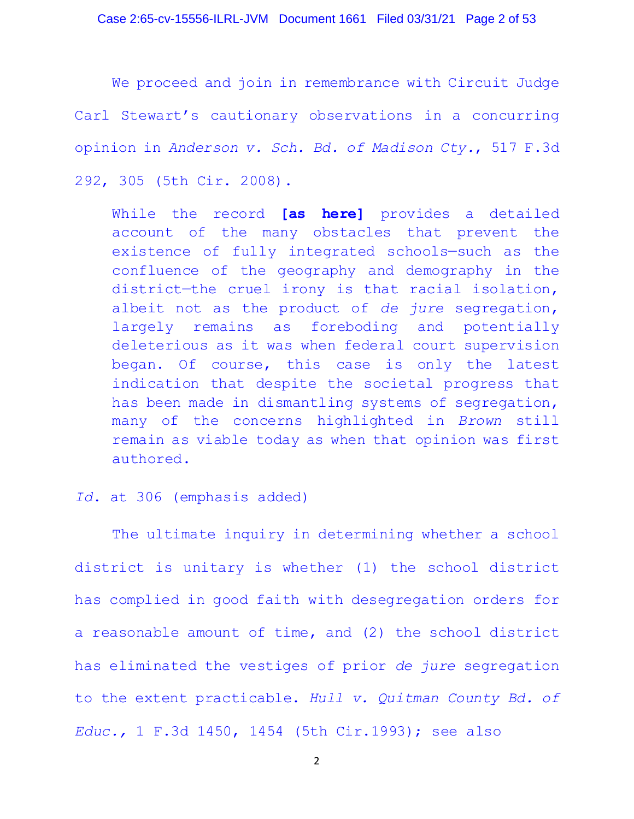We proceed and join in remembrance with Circuit Judge Carl Stewart's cautionary observations in a concurring opinion in *Anderson v. Sch. Bd. of Madison Cty.*, 517 F.3d 292, 305 (5th Cir. 2008).

While the record **[as here]** provides a detailed account of the many obstacles that prevent the existence of fully integrated schools—such as the confluence of the geography and demography in the district—the cruel irony is that racial isolation, albeit not as the product of *de jure* segregation, largely remains as foreboding and potentially deleterious as it was when federal court supervision began. Of course, this case is only the latest indication that despite the societal progress that has been made in dismantling systems of segregation, many of the concerns highlighted in *Brown* still remain as viable today as when that opinion was first authored.

## *Id*. at 306 (emphasis added)

The ultimate inquiry in determining whether a school district is unitary is whether (1) the school district has complied in good faith with desegregation orders for a reasonable amount of time, and (2) the school district has eliminated the vestiges of prior *de jure* segregation to the extent practicable. *Hull v. Quitman County Bd. of Educ.,* 1 F.3d 1450, 1454 (5th Cir.1993); see also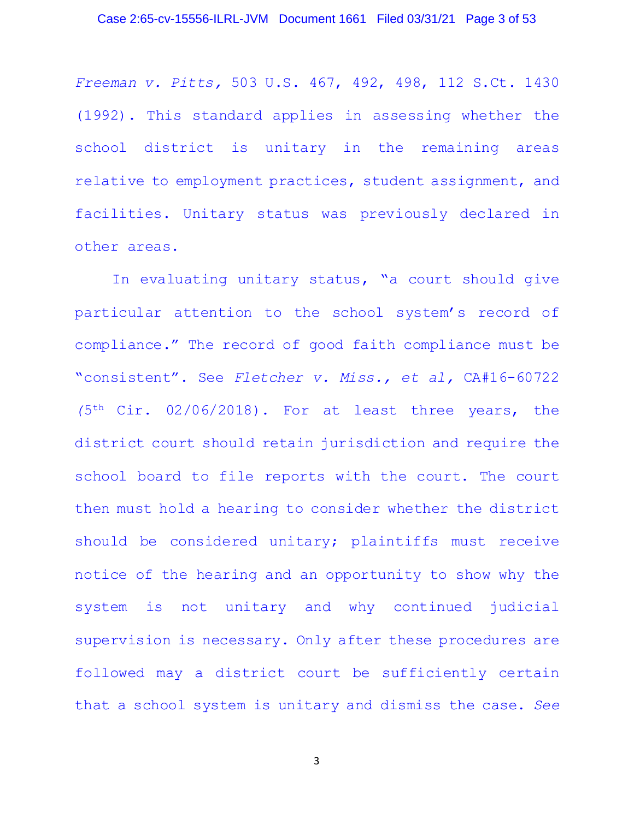*Freeman v. Pitts,* 503 U.S. 467, 492, 498, 112 S.Ct. 1430 (1992). This standard applies in assessing whether the school district is unitary in the remaining areas relative to employment practices, student assignment, and facilities. Unitary status was previously declared in other areas.

In evaluating unitary status, "a court should give particular attention to the school system's record of compliance." The record of good faith compliance must be "consistent". See *Fletcher v. Miss., et al,* CA#16-60722 *(*5th Cir. 02/06/2018). For at least three years, the district court should retain jurisdiction and require the school board to file reports with the court. The court then must hold a hearing to consider whether the district should be considered unitary; plaintiffs must receive notice of the hearing and an opportunity to show why the system is not unitary and why continued judicial supervision is necessary. Only after these procedures are followed may a district court be sufficiently certain that a school system is unitary and dismiss the case. *See*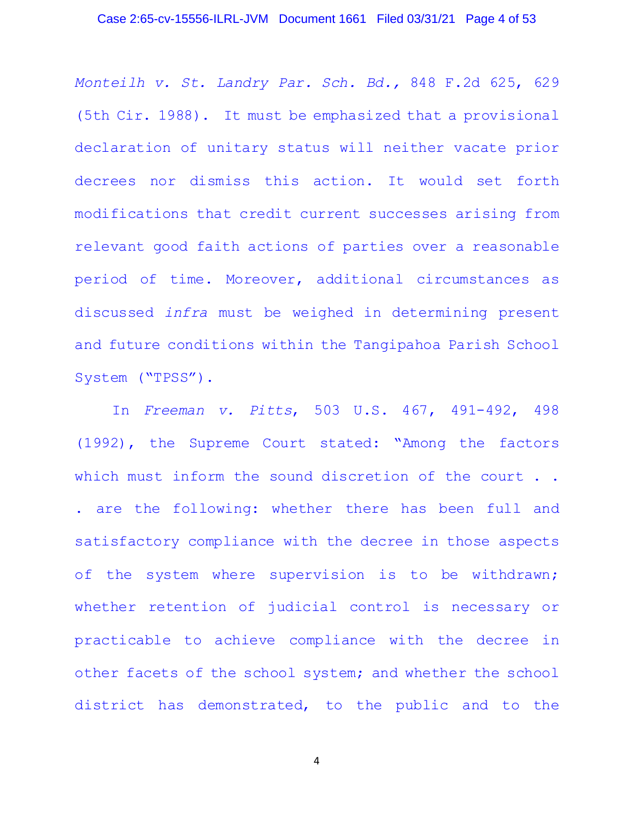### Case 2:65-cv-15556-ILRL-JVM Document 1661 Filed 03/31/21 Page 4 of 53

*Monteilh v. St. Landry Par. Sch. Bd.,* 848 F.2d 625, 629 (5th Cir. 1988). It must be emphasized that a provisional declaration of unitary status will neither vacate prior decrees nor dismiss this action. It would set forth modifications that credit current successes arising from relevant good faith actions of parties over a reasonable period of time. Moreover, additional circumstances as discussed *infra* must be weighed in determining present and future conditions within the Tangipahoa Parish School System ("TPSS").

In *Freeman v. Pitts*, 503 U.S. 467, 491-492, 498 (1992), the Supreme Court stated: "Among the factors which must inform the sound discretion of the court . . . are the following: whether there has been full and satisfactory compliance with the decree in those aspects of the system where supervision is to be withdrawn; whether retention of judicial control is necessary or practicable to achieve compliance with the decree in other facets of the school system; and whether the school district has demonstrated, to the public and to the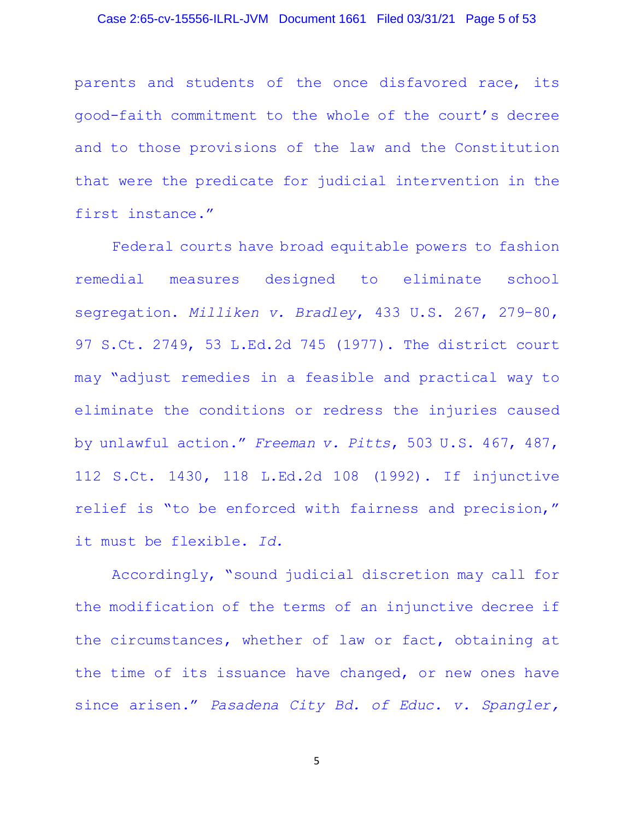#### Case 2:65-cv-15556-ILRL-JVM Document 1661 Filed 03/31/21 Page 5 of 53

parents and students of the once disfavored race, its good-faith commitment to the whole of the court's decree and to those provisions of the law and the Constitution that were the predicate for judicial intervention in the first instance."

Federal courts have broad equitable powers to fashion remedial measures designed to eliminate school segregation. *Milliken v. Bradley*, 433 U.S. 267, 279–80, 97 S.Ct. 2749, 53 L.Ed.2d 745 (1977). The district court may "adjust remedies in a feasible and practical way to eliminate the conditions or redress the injuries caused by unlawful action." *Freeman v. Pitts*, 503 U.S. 467, 487, 112 S.Ct. 1430, 118 L.Ed.2d 108 (1992). If injunctive relief is "to be enforced with fairness and precision," it must be flexible. *Id.*

Accordingly, "sound judicial discretion may call for the modification of the terms of an injunctive decree if the circumstances, whether of law or fact, obtaining at the time of its issuance have changed, or new ones have since arisen." *Pasadena City Bd. of Educ. v. Spangler,*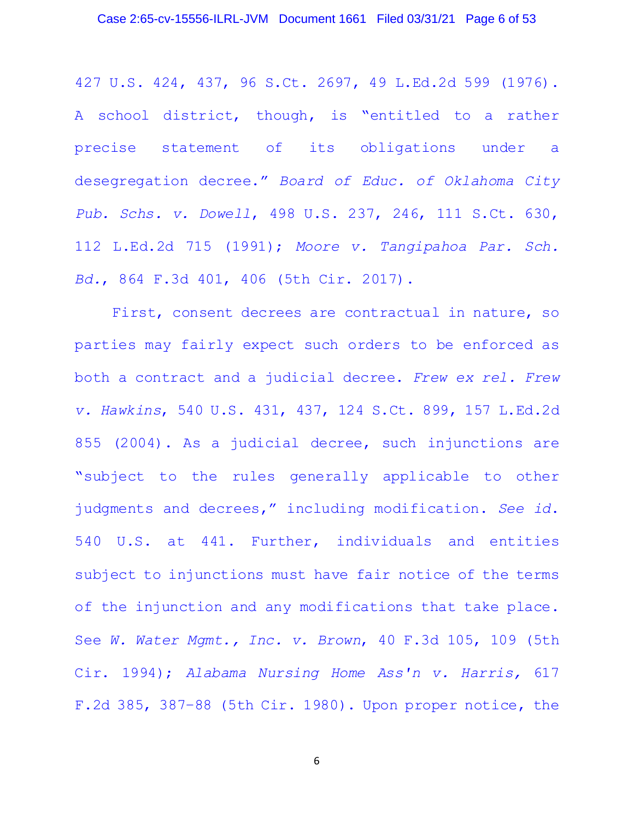427 U.S. 424, 437, 96 S.Ct. 2697, 49 L.Ed.2d 599 (1976). A school district, though, is "entitled to a rather precise statement of its obligations under a desegregation decree." *Board of Educ. of Oklahoma City Pub. Schs. v. Dowell*, 498 U.S. 237, 246, 111 S.Ct. 630, 112 L.Ed.2d 715 (1991); *Moore v. Tangipahoa Par. Sch. Bd.*, 864 F.3d 401, 406 (5th Cir. 2017).

First, consent decrees are contractual in nature, so parties may fairly expect such orders to be enforced as both a contract and a judicial decree. *Frew ex rel. Frew v. Hawkins*, 540 U.S. 431, 437, 124 S.Ct. 899, 157 L.Ed.2d 855 (2004). As a judicial decree, such injunctions are "subject to the rules generally applicable to other judgments and decrees," including modification. *See id*. 540 U.S. at 441. Further, individuals and entities subject to injunctions must have fair notice of the terms of the injunction and any modifications that take place. See *W. Water Mgmt., Inc. v. Brown*, 40 F.3d 105, 109 (5th Cir. 1994); *Alabama Nursing Home Ass'n v. Harris,* 617 F.2d 385, 387–88 (5th Cir. 1980). Upon proper notice, the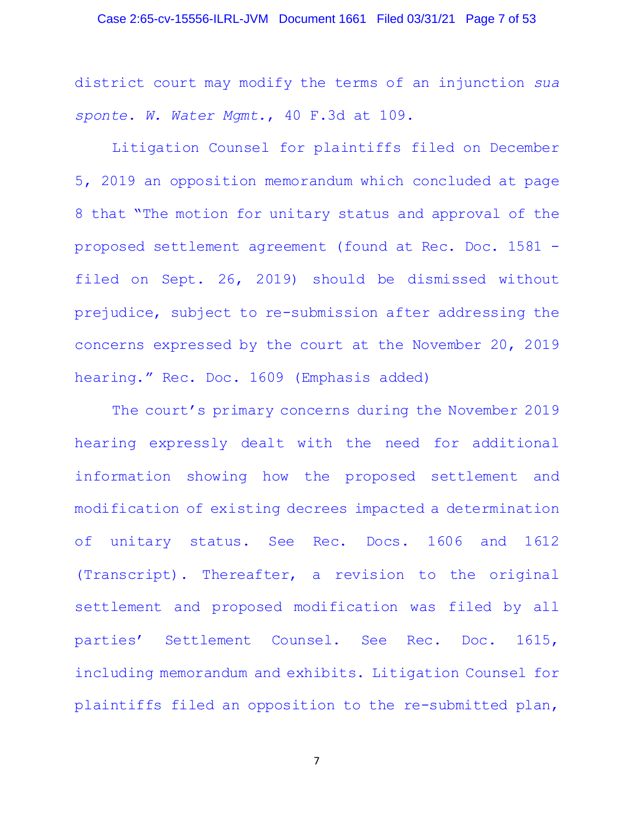#### Case 2:65-cv-15556-ILRL-JVM Document 1661 Filed 03/31/21 Page 7 of 53

district court may modify the terms of an injunction *sua sponte*. *W. Water Mgmt.*, 40 F.3d at 109.

Litigation Counsel for plaintiffs filed on December 5, 2019 an opposition memorandum which concluded at page 8 that "The motion for unitary status and approval of the proposed settlement agreement (found at Rec. Doc. 1581 filed on Sept. 26, 2019) should be dismissed without prejudice, subject to re-submission after addressing the concerns expressed by the court at the November 20, 2019 hearing." Rec. Doc. 1609 (Emphasis added)

The court's primary concerns during the November 2019 hearing expressly dealt with the need for additional information showing how the proposed settlement and modification of existing decrees impacted a determination of unitary status. See Rec. Docs. 1606 and 1612 (Transcript). Thereafter, a revision to the original settlement and proposed modification was filed by all parties' Settlement Counsel. See Rec. Doc. 1615, including memorandum and exhibits. Litigation Counsel for plaintiffs filed an opposition to the re-submitted plan,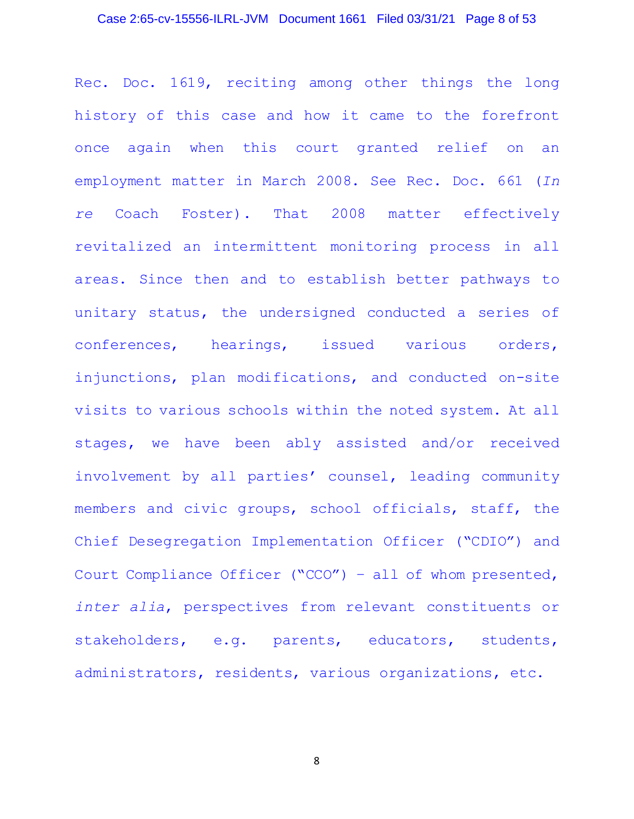### Case 2:65-cv-15556-ILRL-JVM Document 1661 Filed 03/31/21 Page 8 of 53

Rec. Doc. 1619, reciting among other things the long history of this case and how it came to the forefront once again when this court granted relief on an employment matter in March 2008. See Rec. Doc. 661 (*In re* Coach Foster). That 2008 matter effectively revitalized an intermittent monitoring process in all areas. Since then and to establish better pathways to unitary status, the undersigned conducted a series of conferences, hearings, issued various orders, injunctions, plan modifications, and conducted on-site visits to various schools within the noted system. At all stages, we have been ably assisted and/or received involvement by all parties' counsel, leading community members and civic groups, school officials, staff, the Chief Desegregation Implementation Officer ("CDIO") and Court Compliance Officer ("CCO") – all of whom presented, *inter alia*, perspectives from relevant constituents or stakeholders, e.g. parents, educators, students, administrators, residents, various organizations, etc.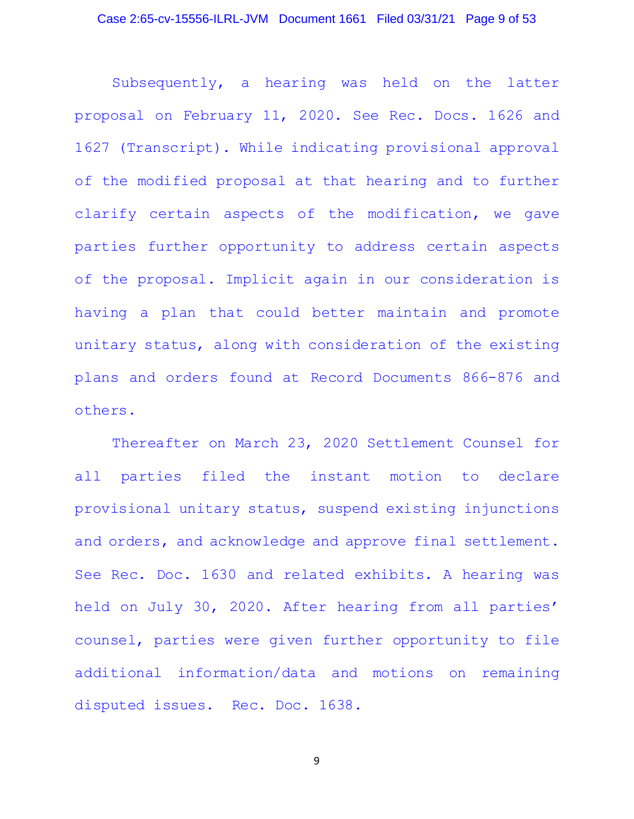Subsequently, a hearing was held on the latter proposal on February 11, 2020. See Rec. Docs. 1626 and 1627 (Transcript). While indicating provisional approval of the modified proposal at that hearing and to further clarify certain aspects of the modification, we gave parties further opportunity to address certain aspects of the proposal. Implicit again in our consideration is having a plan that could better maintain and promote unitary status, along with consideration of the existing plans and orders found at Record Documents 866-876 and others.

Thereafter on March 23, 2020 Settlement Counsel for all parties filed the instant motion to declare provisional unitary status, suspend existing injunctions and orders, and acknowledge and approve final settlement. See Rec. Doc. 1630 and related exhibits. A hearing was held on July 30, 2020. After hearing from all parties' counsel, parties were given further opportunity to file additional information/data and motions on remaining disputed issues. Rec. Doc. 1638.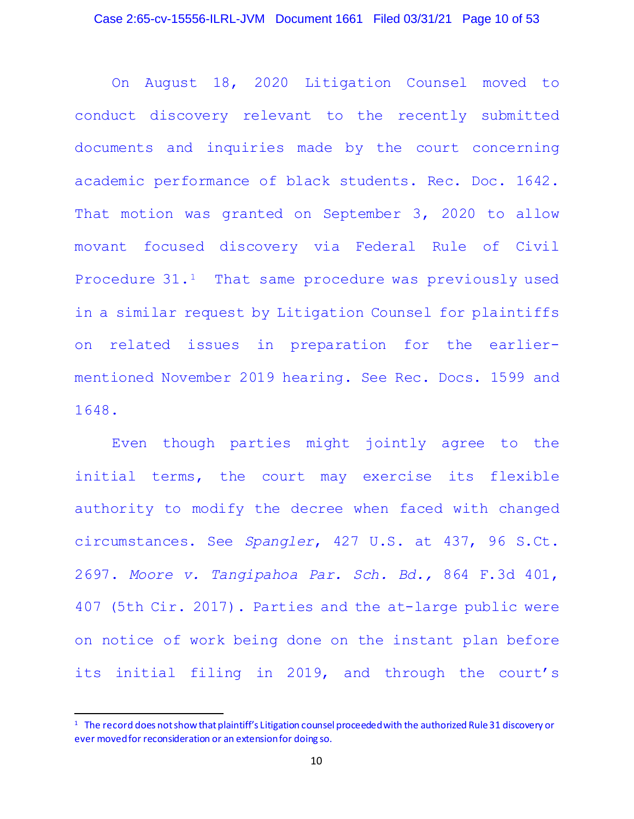On August 18, 2020 Litigation Counsel moved to conduct discovery relevant to the recently submitted documents and inquiries made by the court concerning academic performance of black students. Rec. Doc. 1642. That motion was granted on September 3, 2020 to allow movant focused discovery via Federal Rule of Civil Procedure 31.<sup>1</sup> That same procedure was previously used in a similar request by Litigation Counsel for plaintiffs on related issues in preparation for the earliermentioned November 2019 hearing. See Rec. Docs. 1599 and 1648.

Even though parties might jointly agree to the initial terms, the court may exercise its flexible authority to modify the decree when faced with changed circumstances. See *Spangler*, 427 U.S. at 437, 96 S.Ct. 2697. *Moore v. Tangipahoa Par. Sch. Bd.,* 864 F.3d 401, 407 (5th Cir. 2017). Parties and the at-large public were on notice of work being done on the instant plan before its initial filing in 2019, and through the court's

<sup>1</sup> The record does not show that plaintiff's Litigation counsel proceeded with the authorized Rule 31 discovery or ever moved for reconsideration or an extension for doing so.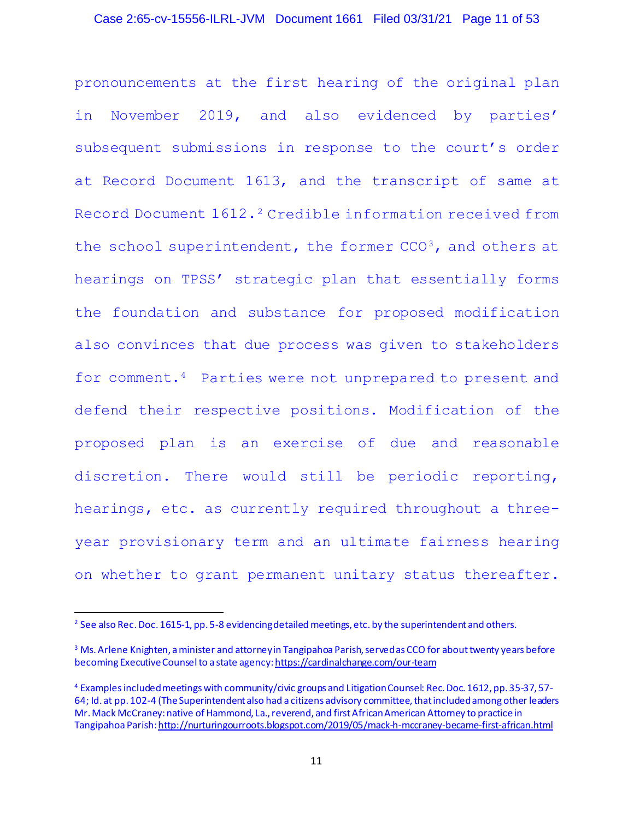### Case 2:65-cv-15556-ILRL-JVM Document 1661 Filed 03/31/21 Page 11 of 53

pronouncements at the first hearing of the original plan in November 2019, and also evidenced by parties' subsequent submissions in response to the court's order at Record Document 1613, and the transcript of same at Record Document 1612.<sup>2</sup> Credible information received from the school superintendent, the former  $CCO<sup>3</sup>$ , and others at hearings on TPSS' strategic plan that essentially forms the foundation and substance for proposed modification also convinces that due process was given to stakeholders for comment.<sup>4</sup> Parties were not unprepared to present and defend their respective positions. Modification of the proposed plan is an exercise of due and reasonable discretion. There would still be periodic reporting, hearings, etc. as currently required throughout a threeyear provisionary term and an ultimate fairness hearing on whether to grant permanent unitary status thereafter.

<sup>&</sup>lt;sup>2</sup> See also Rec. Doc. 1615-1, pp. 5-8 evidencing detailed meetings, etc. by the superintendent and others.

<sup>&</sup>lt;sup>3</sup> Ms. Arlene Knighten, a minister and attorney in Tangipahoa Parish, served as CCO for about twenty years before becoming Executive Counsel to a state agency: https://cardinalchange.com/our-team

<sup>4</sup> Examples included meetings with community/civic groups and Litigation Counsel: Rec. Doc. 1612, pp. 35-37, 57- 64; Id. at pp. 102-4 (The Superintendent also had a citizens advisory committee, that included among other leaders Mr. Mack McCraney: native of Hammond, La., reverend, and first African American Attorney to practice in Tangipahoa Parish: http://nurturingourroots.blogspot.com/2019/05/mack-h-mccraney-became-first-african.html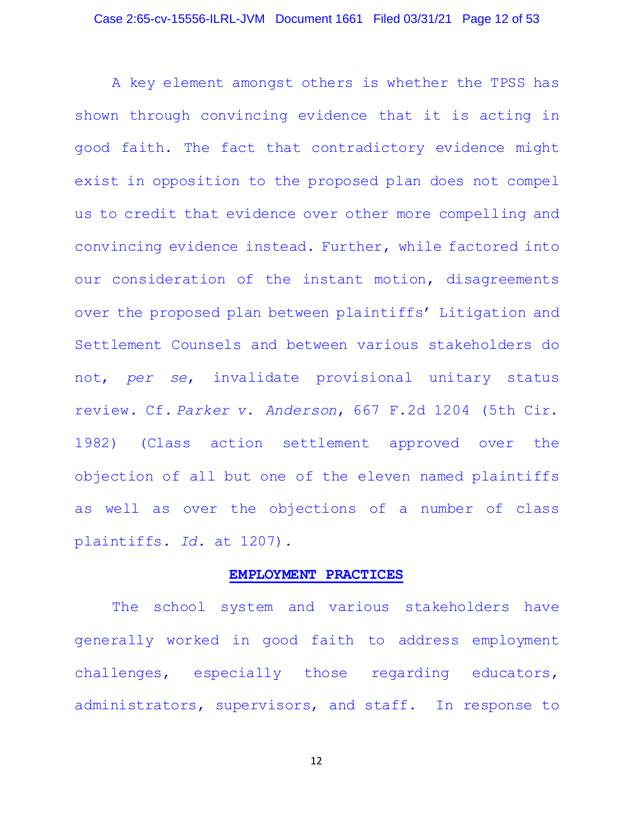#### Case 2:65-cv-15556-ILRL-JVM Document 1661 Filed 03/31/21 Page 12 of 53

A key element amongst others is whether the TPSS has shown through convincing evidence that it is acting in good faith. The fact that contradictory evidence might exist in opposition to the proposed plan does not compel us to credit that evidence over other more compelling and convincing evidence instead. Further, while factored into our consideration of the instant motion, disagreements over the proposed plan between plaintiffs' Litigation and Settlement Counsels and between various stakeholders do not, *per se*, invalidate provisional unitary status review. Cf. *Parker v. Anderson*, 667 F.2d 1204 (5th Cir. 1982) (Class action settlement approved over the objection of all but one of the eleven named plaintiffs as well as over the objections of a number of class plaintiffs. *Id.* at 1207).

#### **EMPLOYMENT PRACTICES**

The school system and various stakeholders have generally worked in good faith to address employment challenges, especially those regarding educators, administrators, supervisors, and staff. In response to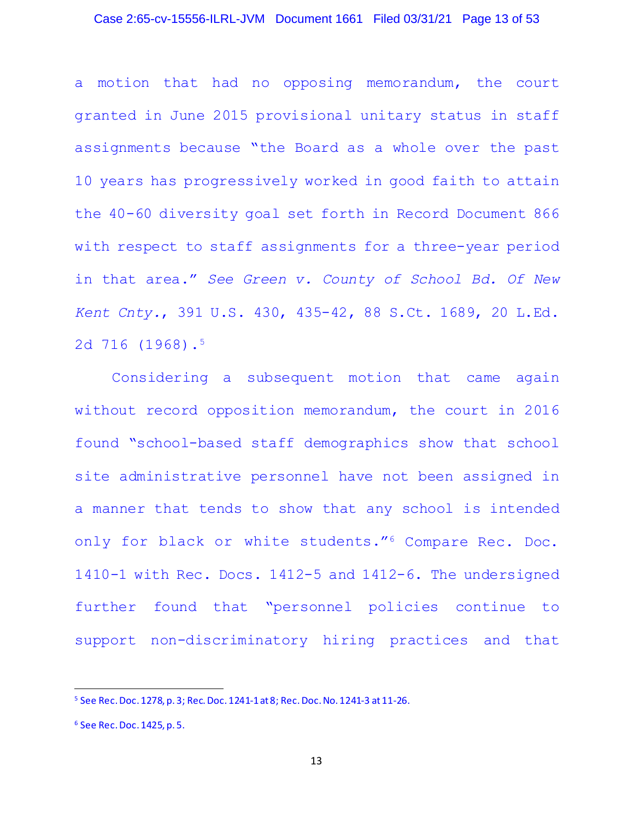### Case 2:65-cv-15556-ILRL-JVM Document 1661 Filed 03/31/21 Page 13 of 53

a motion that had no opposing memorandum, the court granted in June 2015 provisional unitary status in staff assignments because "the Board as a whole over the past 10 years has progressively worked in good faith to attain the 40-60 diversity goal set forth in Record Document 866 with respect to staff assignments for a three-year period in that area." *See Green v. County of School Bd. Of New Kent Cnty.*, 391 U.S. 430, 435-42, 88 S.Ct. 1689, 20 L.Ed. 2d 716 (1968).5

Considering a subsequent motion that came again without record opposition memorandum, the court in 2016 found "school-based staff demographics show that school site administrative personnel have not been assigned in a manner that tends to show that any school is intended only for black or white students."6 Compare Rec. Doc. 1410-1 with Rec. Docs. 1412-5 and 1412-6. The undersigned further found that "personnel policies continue to support non-discriminatory hiring practices and that

<sup>5</sup> See Rec. Doc. 1278, p. 3; Rec. Doc. 1241-1 at 8; Rec. Doc. No. 1241-3 at 11-26.

<sup>6</sup> See Rec. Doc. 1425, p. 5.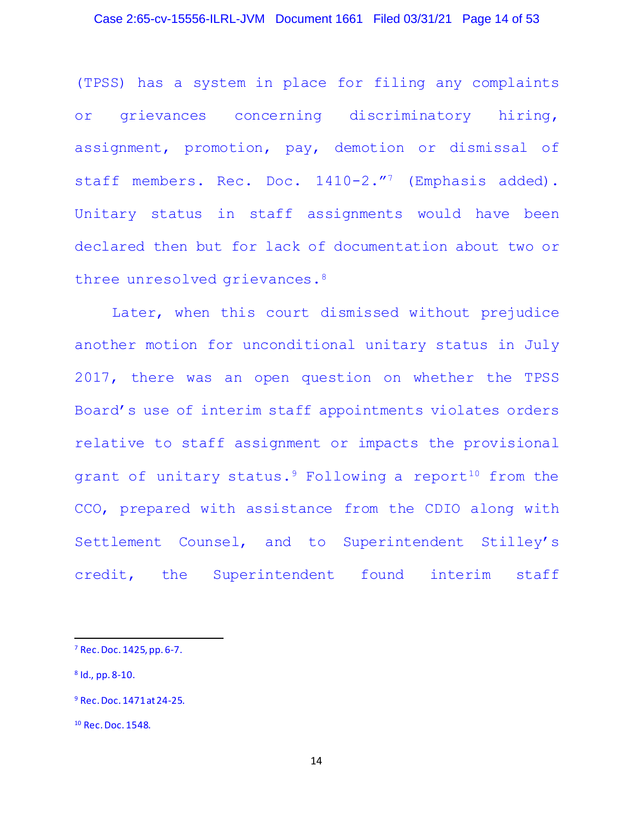### Case 2:65-cv-15556-ILRL-JVM Document 1661 Filed 03/31/21 Page 14 of 53

(TPSS) has a system in place for filing any complaints or grievances concerning discriminatory hiring, assignment, promotion, pay, demotion or dismissal of staff members. Rec. Doc. 1410-2."<sup>7</sup> (Emphasis added). Unitary status in staff assignments would have been declared then but for lack of documentation about two or three unresolved grievances.<sup>8</sup>

Later, when this court dismissed without prejudice another motion for unconditional unitary status in July 2017, there was an open question on whether the TPSS Board's use of interim staff appointments violates orders relative to staff assignment or impacts the provisional grant of unitary status. $9$  Following a report<sup>10</sup> from the CCO, prepared with assistance from the CDIO along with Settlement Counsel, and to Superintendent Stilley's credit, the Superintendent found interim staff

<sup>7</sup> Rec. Doc. 1425, pp. 6-7.

<sup>8</sup> Id., pp. 8-10.

<sup>9</sup> Rec. Doc. 1471 at 24-25.

<sup>10</sup> Rec. Doc. 1548.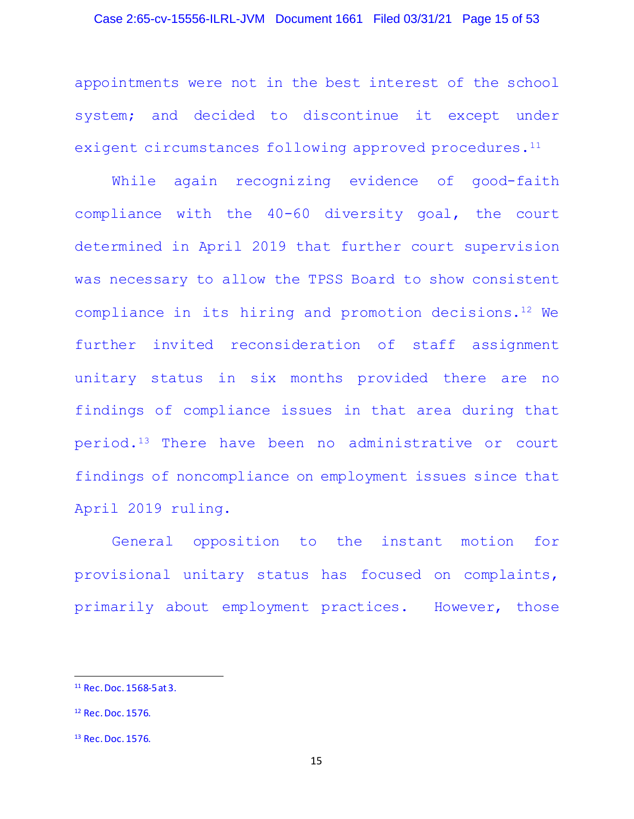### Case 2:65-cv-15556-ILRL-JVM Document 1661 Filed 03/31/21 Page 15 of 53

appointments were not in the best interest of the school system; and decided to discontinue it except under exigent circumstances following approved procedures.<sup>11</sup>

While again recognizing evidence of good-faith compliance with the 40-60 diversity goal, the court determined in April 2019 that further court supervision was necessary to allow the TPSS Board to show consistent compliance in its hiring and promotion decisions.12 We further invited reconsideration of staff assignment unitary status in six months provided there are no findings of compliance issues in that area during that period.13 There have been no administrative or court findings of noncompliance on employment issues since that April 2019 ruling.

General opposition to the instant motion for provisional unitary status has focused on complaints, primarily about employment practices. However, those

<sup>11</sup> Rec. Doc. 1568-5 at 3.

<sup>12</sup> Rec. Doc. 1576.

<sup>&</sup>lt;sup>13</sup> Rec. Doc. 1576.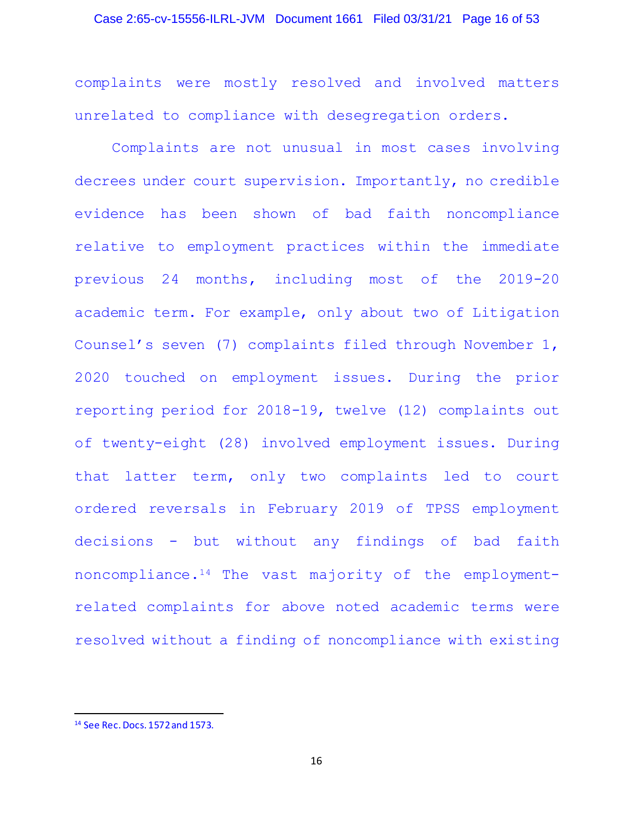# Case 2:65-cv-15556-ILRL-JVM Document 1661 Filed 03/31/21 Page 16 of 53

complaints were mostly resolved and involved matters unrelated to compliance with desegregation orders.

Complaints are not unusual in most cases involving decrees under court supervision. Importantly, no credible evidence has been shown of bad faith noncompliance relative to employment practices within the immediate previous 24 months, including most of the 2019-20 academic term. For example, only about two of Litigation Counsel's seven (7) complaints filed through November 1, 2020 touched on employment issues. During the prior reporting period for 2018-19, twelve (12) complaints out of twenty-eight (28) involved employment issues. During that latter term, only two complaints led to court ordered reversals in February 2019 of TPSS employment decisions - but without any findings of bad faith noncompliance.14 The vast majority of the employmentrelated complaints for above noted academic terms were resolved without a finding of noncompliance with existing

<sup>14</sup> See Rec. Docs. 1572 and 1573.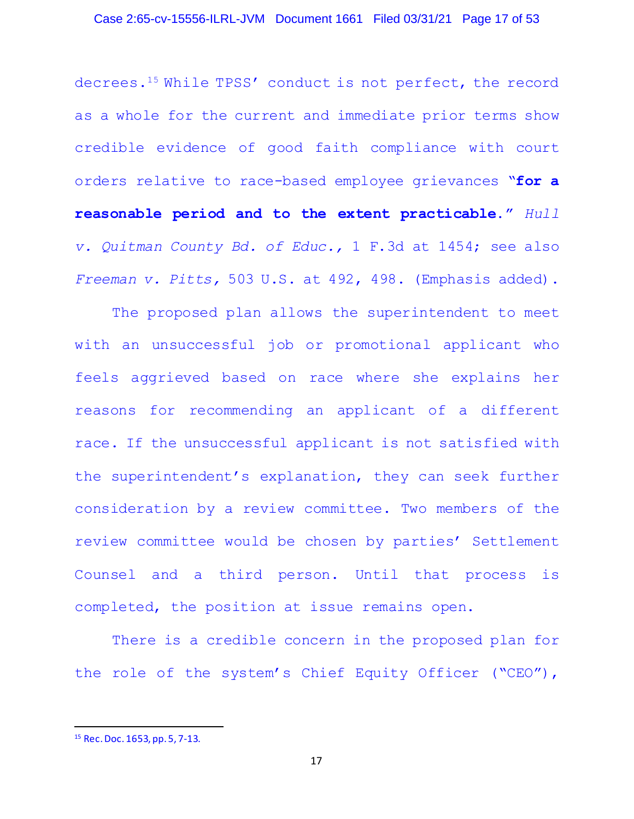### Case 2:65-cv-15556-ILRL-JVM Document 1661 Filed 03/31/21 Page 17 of 53

decrees.15 While TPSS' conduct is not perfect, the record as a whole for the current and immediate prior terms show credible evidence of good faith compliance with court orders relative to race-based employee grievances "**for a reasonable period and to the extent practicable."** *Hull v. Quitman County Bd. of Educ.,* 1 F.3d at 1454; see also *Freeman v. Pitts,* 503 U.S. at 492, 498. (Emphasis added).

The proposed plan allows the superintendent to meet with an unsuccessful job or promotional applicant who feels aggrieved based on race where she explains her reasons for recommending an applicant of a different race. If the unsuccessful applicant is not satisfied with the superintendent's explanation, they can seek further consideration by a review committee. Two members of the review committee would be chosen by parties' Settlement Counsel and a third person. Until that process is completed, the position at issue remains open.

There is a credible concern in the proposed plan for the role of the system's Chief Equity Officer ("CEO"),

<sup>15</sup> Rec. Doc. 1653, pp. 5, 7-13.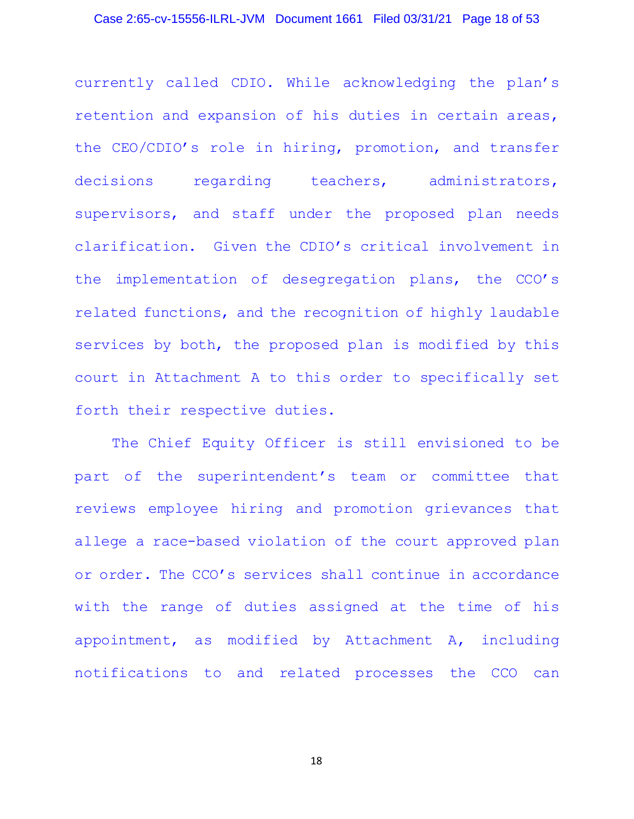### Case 2:65-cv-15556-ILRL-JVM Document 1661 Filed 03/31/21 Page 18 of 53

currently called CDIO. While acknowledging the plan's retention and expansion of his duties in certain areas, the CEO/CDIO's role in hiring, promotion, and transfer decisions regarding teachers, administrators, supervisors, and staff under the proposed plan needs clarification. Given the CDIO's critical involvement in the implementation of desegregation plans, the CCO's related functions, and the recognition of highly laudable services by both, the proposed plan is modified by this court in Attachment A to this order to specifically set forth their respective duties.

The Chief Equity Officer is still envisioned to be part of the superintendent's team or committee that reviews employee hiring and promotion grievances that allege a race-based violation of the court approved plan or order. The CCO's services shall continue in accordance with the range of duties assigned at the time of his appointment, as modified by Attachment A, including notifications to and related processes the CCO can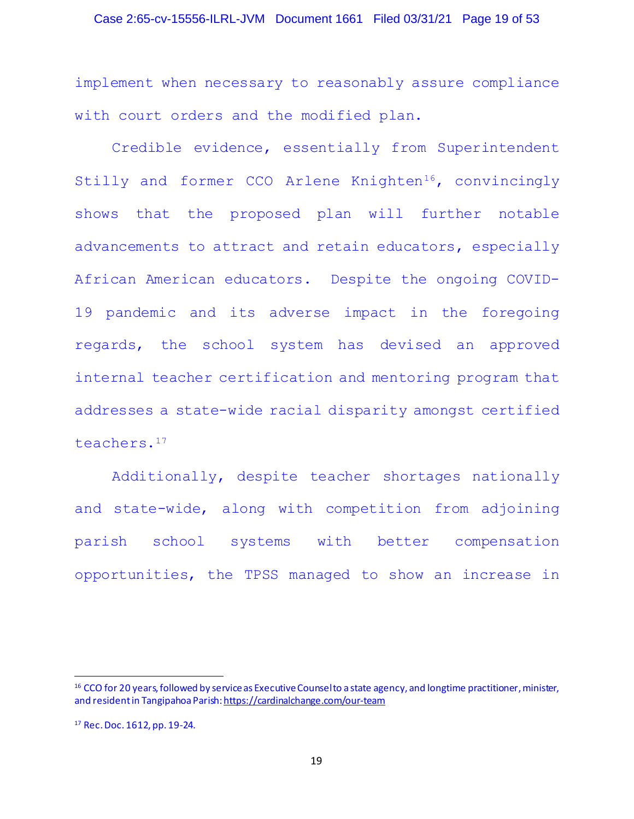### Case 2:65-cv-15556-ILRL-JVM Document 1661 Filed 03/31/21 Page 19 of 53

implement when necessary to reasonably assure compliance with court orders and the modified plan.

Credible evidence, essentially from Superintendent Stilly and former CCO Arlene Knighten<sup>16</sup>, convincingly shows that the proposed plan will further notable advancements to attract and retain educators, especially African American educators. Despite the ongoing COVID-19 pandemic and its adverse impact in the foregoing regards, the school system has devised an approved internal teacher certification and mentoring program that addresses a state-wide racial disparity amongst certified teachers.<sup>17</sup>

Additionally, despite teacher shortages nationally and state-wide, along with competition from adjoining parish school systems with better compensation opportunities, the TPSS managed to show an increase in

<sup>&</sup>lt;sup>16</sup> CCO for 20 years, followed by service as Executive Counselto a state agency, and longtime practitioner, minister, and resident in Tangipahoa Parish: https://cardinalchange.com/our-team

<sup>17</sup> Rec. Doc. 1612, pp. 19-24.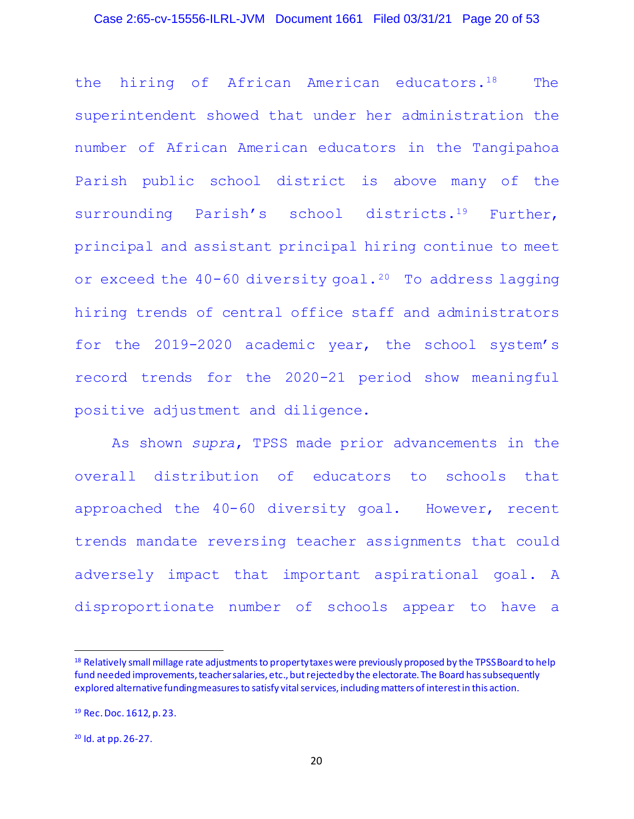### Case 2:65-cv-15556-ILRL-JVM Document 1661 Filed 03/31/21 Page 20 of 53

the hiring of African American educators.18 The superintendent showed that under her administration the number of African American educators in the Tangipahoa Parish public school district is above many of the surrounding Parish's school districts.<sup>19</sup> Further, principal and assistant principal hiring continue to meet or exceed the 40-60 diversity goal.<sup>20</sup> To address lagging hiring trends of central office staff and administrators for the 2019-2020 academic year, the school system's record trends for the 2020-21 period show meaningful positive adjustment and diligence.

As shown *supra*, TPSS made prior advancements in the overall distribution of educators to schools that approached the 40-60 diversity goal. However, recent trends mandate reversing teacher assignments that could adversely impact that important aspirational goal. A disproportionate number of schools appear to have a

<sup>&</sup>lt;sup>18</sup> Relatively small millage rate adjustments to property taxes were previously proposed by the TPSS Board to help fund needed improvements, teacher salaries, etc., but rejected by the electorate. The Board has subsequently explored alternative funding measures to satisfy vital services, including matters of interest in this action.

<sup>19</sup> Rec. Doc. 1612, p. 23.

<sup>20</sup> Id. at pp. 26-27.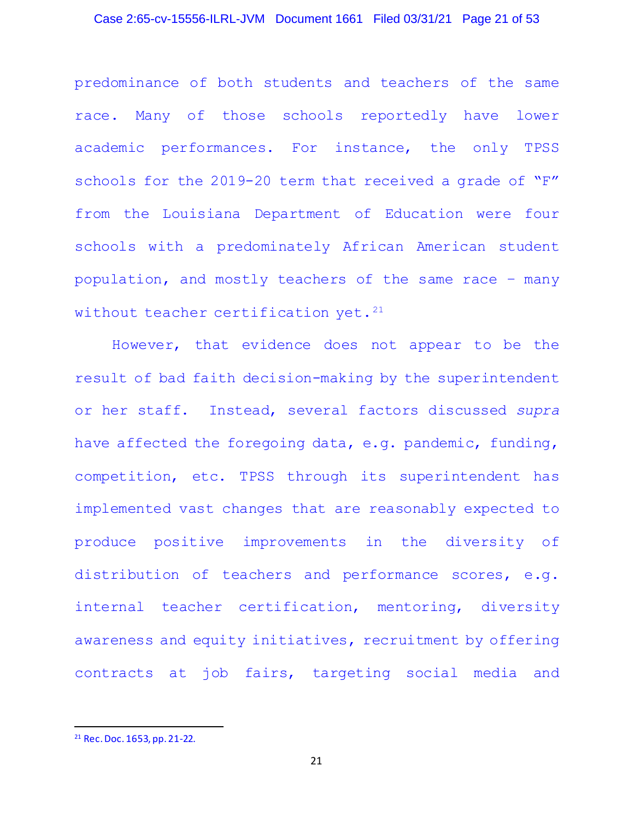### Case 2:65-cv-15556-ILRL-JVM Document 1661 Filed 03/31/21 Page 21 of 53

predominance of both students and teachers of the same race. Many of those schools reportedly have lower academic performances. For instance, the only TPSS schools for the 2019-20 term that received a grade of "F" from the Louisiana Department of Education were four schools with a predominately African American student population, and mostly teachers of the same race – many without teacher certification yet.  $21$ 

However, that evidence does not appear to be the result of bad faith decision-making by the superintendent or her staff. Instead, several factors discussed *supra* have affected the foregoing data, e.g. pandemic, funding, competition, etc. TPSS through its superintendent has implemented vast changes that are reasonably expected to produce positive improvements in the diversity of distribution of teachers and performance scores, e.g. internal teacher certification, mentoring, diversity awareness and equity initiatives, recruitment by offering contracts at job fairs, targeting social media and

<sup>21</sup> Rec. Doc. 1653, pp. 21-22.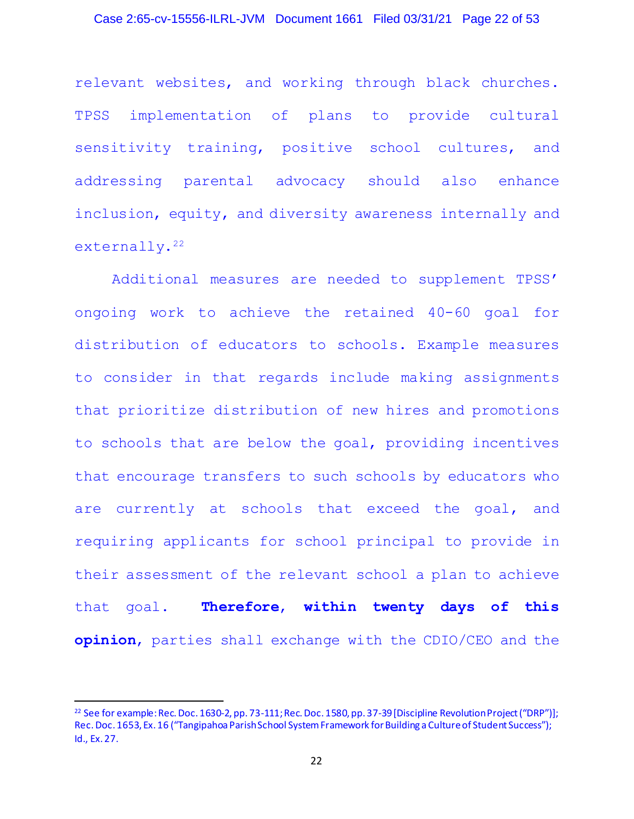### Case 2:65-cv-15556-ILRL-JVM Document 1661 Filed 03/31/21 Page 22 of 53

relevant websites, and working through black churches. TPSS implementation of plans to provide cultural sensitivity training, positive school cultures, and addressing parental advocacy should also enhance inclusion, equity, and diversity awareness internally and externally.<sup>22</sup>

Additional measures are needed to supplement TPSS' ongoing work to achieve the retained 40-60 goal for distribution of educators to schools. Example measures to consider in that regards include making assignments that prioritize distribution of new hires and promotions to schools that are below the goal, providing incentives that encourage transfers to such schools by educators who are currently at schools that exceed the goal, and requiring applicants for school principal to provide in their assessment of the relevant school a plan to achieve that goal. **Therefore**, **within twenty days of this opinion**, parties shall exchange with the CDIO/CEO and the

<sup>&</sup>lt;sup>22</sup> See for example: Rec. Doc. 1630-2, pp. 73-111; Rec. Doc. 1580, pp. 37-39 [Discipline Revolution Project ("DRP")]; Rec. Doc. 1653, Ex. 16 ("Tangipahoa Parish School System Framework for Building a Culture of Student Success"); Id., Ex. 27.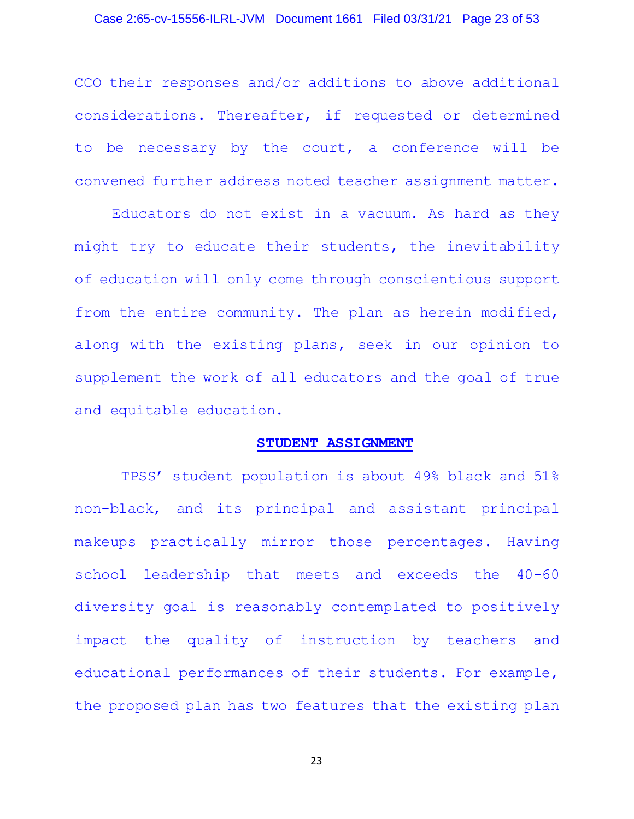### Case 2:65-cv-15556-ILRL-JVM Document 1661 Filed 03/31/21 Page 23 of 53

CCO their responses and/or additions to above additional considerations. Thereafter, if requested or determined to be necessary by the court, a conference will be convened further address noted teacher assignment matter.

Educators do not exist in a vacuum. As hard as they might try to educate their students, the inevitability of education will only come through conscientious support from the entire community. The plan as herein modified, along with the existing plans, seek in our opinion to supplement the work of all educators and the goal of true and equitable education.

#### **STUDENT ASSIGNMENT**

TPSS' student population is about 49% black and 51% non-black, and its principal and assistant principal makeups practically mirror those percentages. Having school leadership that meets and exceeds the 40-60 diversity goal is reasonably contemplated to positively impact the quality of instruction by teachers and educational performances of their students. For example, the proposed plan has two features that the existing plan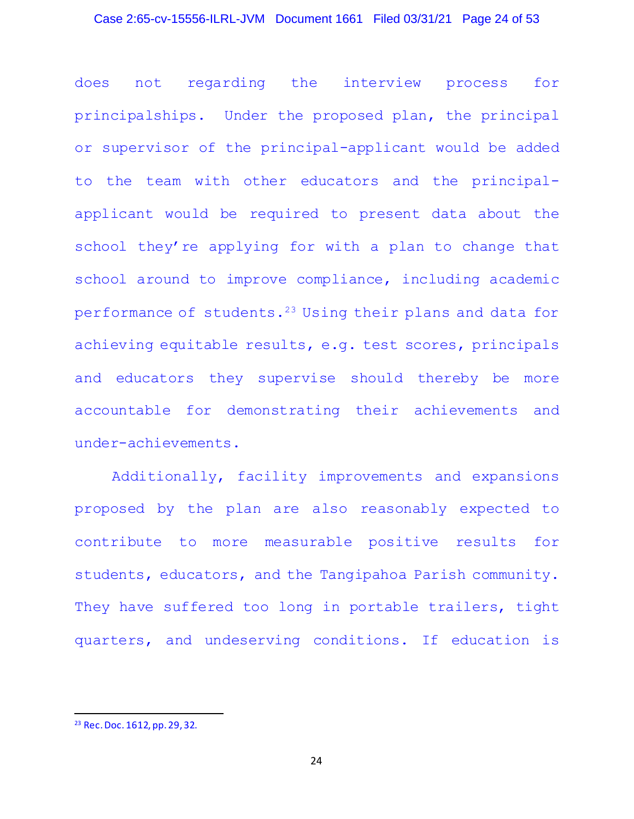# Case 2:65-cv-15556-ILRL-JVM Document 1661 Filed 03/31/21 Page 24 of 53

does not regarding the interview process for principalships. Under the proposed plan, the principal or supervisor of the principal-applicant would be added to the team with other educators and the principalapplicant would be required to present data about the school they're applying for with a plan to change that school around to improve compliance, including academic performance of students.<sup>23</sup> Using their plans and data for achieving equitable results, e.g. test scores, principals and educators they supervise should thereby be more accountable for demonstrating their achievements and under-achievements.

Additionally, facility improvements and expansions proposed by the plan are also reasonably expected to contribute to more measurable positive results for students, educators, and the Tangipahoa Parish community. They have suffered too long in portable trailers, tight quarters, and undeserving conditions. If education is

<sup>23</sup> Rec. Doc. 1612, pp. 29, 32.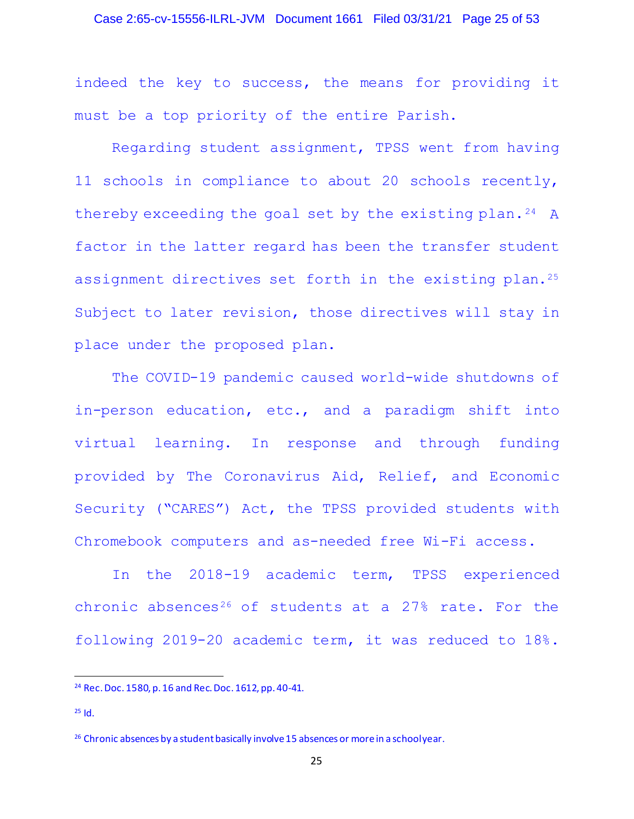### Case 2:65-cv-15556-ILRL-JVM Document 1661 Filed 03/31/21 Page 25 of 53

indeed the key to success, the means for providing it must be a top priority of the entire Parish.

Regarding student assignment, TPSS went from having 11 schools in compliance to about 20 schools recently, thereby exceeding the goal set by the existing plan.24 A factor in the latter regard has been the transfer student assignment directives set forth in the existing plan.<sup>25</sup> Subject to later revision, those directives will stay in place under the proposed plan.

The COVID-19 pandemic caused world-wide shutdowns of in-person education, etc., and a paradigm shift into virtual learning. In response and through funding provided by The Coronavirus Aid, Relief, and Economic Security ("CARES") Act, the TPSS provided students with Chromebook computers and as-needed free Wi-Fi access.

In the 2018-19 academic term, TPSS experienced chronic absences<sup>26</sup> of students at a  $27\%$  rate. For the following 2019-20 academic term, it was reduced to 18%.

<sup>24</sup> Rec. Doc. 1580, p. 16 and Rec. Doc. 1612, pp. 40-41.

 $25$  Id.

<sup>&</sup>lt;sup>26</sup> Chronic absences by a student basically involve 15 absences or more in a schoolyear.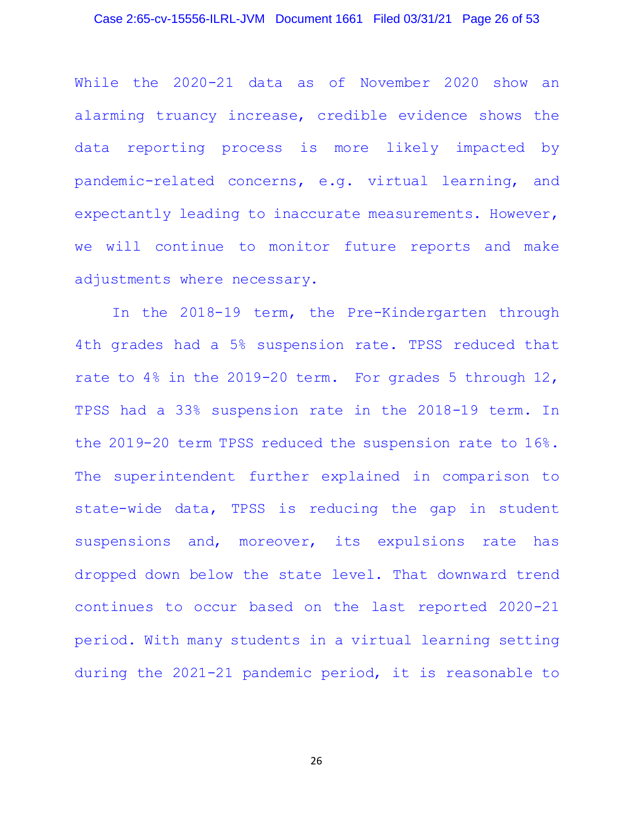#### Case 2:65-cv-15556-ILRL-JVM Document 1661 Filed 03/31/21 Page 26 of 53

While the 2020-21 data as of November 2020 show an alarming truancy increase, credible evidence shows the data reporting process is more likely impacted by pandemic-related concerns, e.g. virtual learning, and expectantly leading to inaccurate measurements. However, we will continue to monitor future reports and make adjustments where necessary.

In the 2018-19 term, the Pre-Kindergarten through 4th grades had a 5% suspension rate. TPSS reduced that rate to 4% in the 2019-20 term. For grades 5 through 12, TPSS had a 33% suspension rate in the 2018-19 term. In the 2019-20 term TPSS reduced the suspension rate to 16%. The superintendent further explained in comparison to state-wide data, TPSS is reducing the gap in student suspensions and, moreover, its expulsions rate has dropped down below the state level. That downward trend continues to occur based on the last reported 2020-21 period. With many students in a virtual learning setting during the 2021-21 pandemic period, it is reasonable to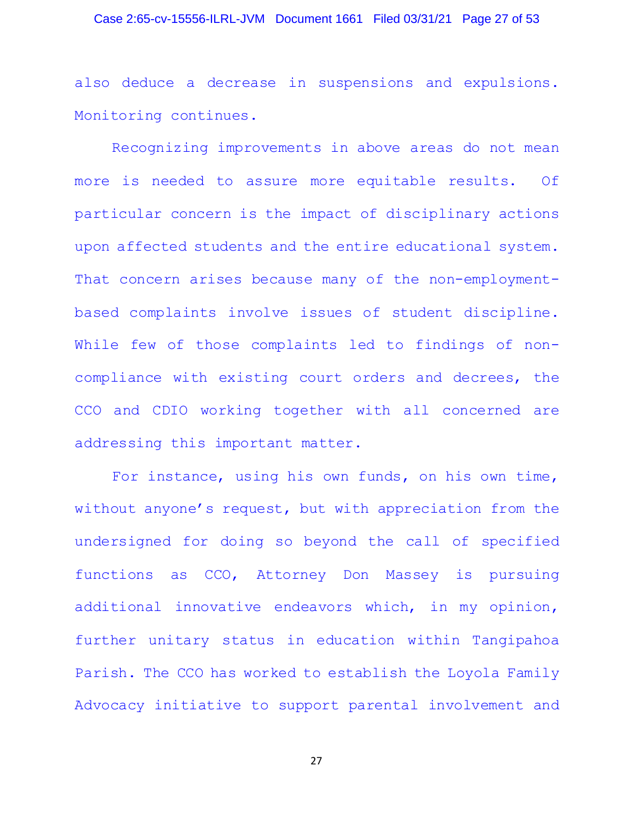### Case 2:65-cv-15556-ILRL-JVM Document 1661 Filed 03/31/21 Page 27 of 53

also deduce a decrease in suspensions and expulsions. Monitoring continues.

Recognizing improvements in above areas do not mean more is needed to assure more equitable results. Of particular concern is the impact of disciplinary actions upon affected students and the entire educational system. That concern arises because many of the non-employmentbased complaints involve issues of student discipline. While few of those complaints led to findings of noncompliance with existing court orders and decrees, the CCO and CDIO working together with all concerned are addressing this important matter.

For instance, using his own funds, on his own time, without anyone's request, but with appreciation from the undersigned for doing so beyond the call of specified functions as CCO, Attorney Don Massey is pursuing additional innovative endeavors which, in my opinion, further unitary status in education within Tangipahoa Parish. The CCO has worked to establish the Loyola Family Advocacy initiative to support parental involvement and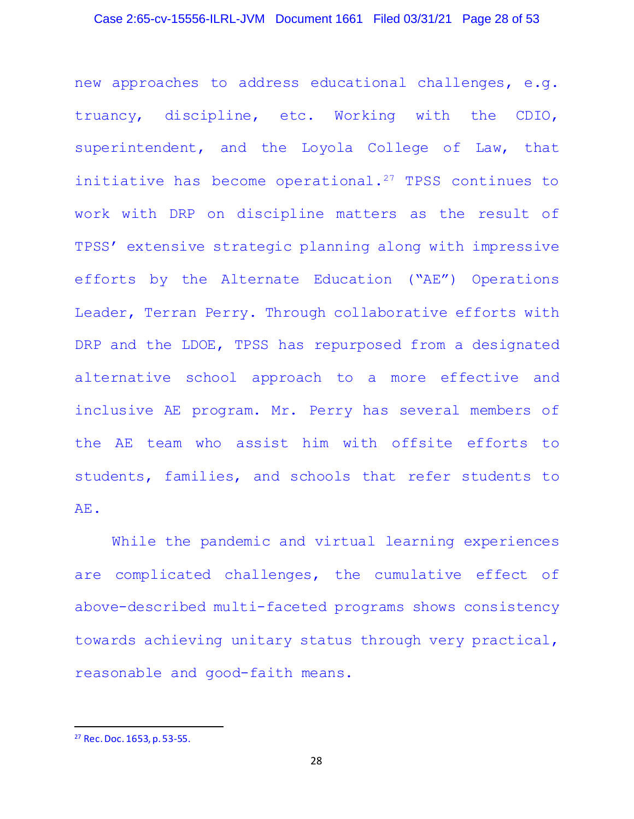### Case 2:65-cv-15556-ILRL-JVM Document 1661 Filed 03/31/21 Page 28 of 53

new approaches to address educational challenges, e.g. truancy, discipline, etc. Working with the CDIO, superintendent, and the Loyola College of Law, that initiative has become operational.27 TPSS continues to work with DRP on discipline matters as the result of TPSS' extensive strategic planning along with impressive efforts by the Alternate Education ("AE") Operations Leader, Terran Perry. Through collaborative efforts with DRP and the LDOE, TPSS has repurposed from a designated alternative school approach to a more effective and inclusive AE program. Mr. Perry has several members of the AE team who assist him with offsite efforts to students, families, and schools that refer students to AE.

While the pandemic and virtual learning experiences are complicated challenges, the cumulative effect of above-described multi-faceted programs shows consistency towards achieving unitary status through very practical, reasonable and good-faith means.

<sup>27</sup> Rec. Doc. 1653, p. 53-55.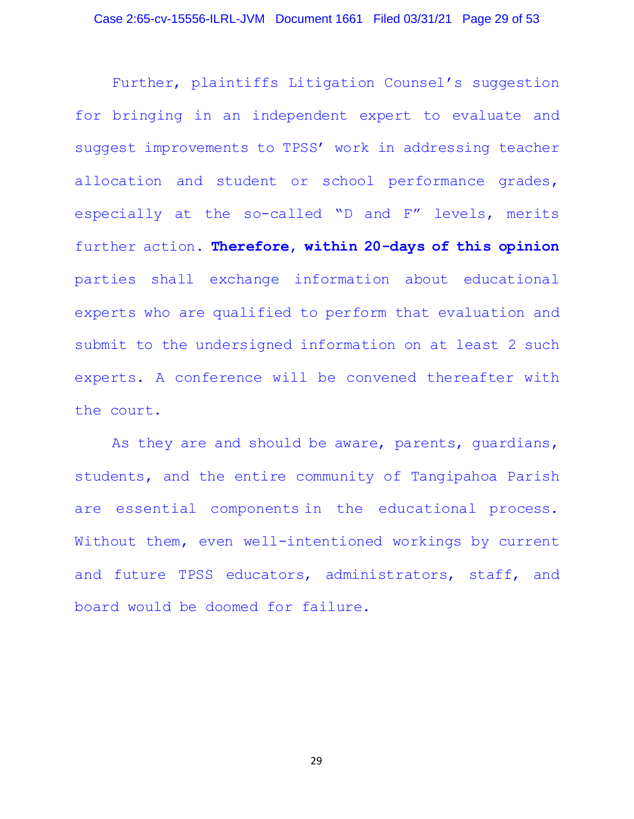Further, plaintiffs Litigation Counsel's suggestion for bringing in an independent expert to evaluate and suggest improvements to TPSS' work in addressing teacher allocation and student or school performance grades, especially at the so-called "D and F" levels, merits further action. **Therefore, within 20-days of this opinion** parties shall exchange information about educational experts who are qualified to perform that evaluation and submit to the undersigned information on at least 2 such experts. A conference will be convened thereafter with the court.

As they are and should be aware, parents, guardians, students, and the entire community of Tangipahoa Parish are essential components in the educational process. Without them, even well-intentioned workings by current and future TPSS educators, administrators, staff, and board would be doomed for failure.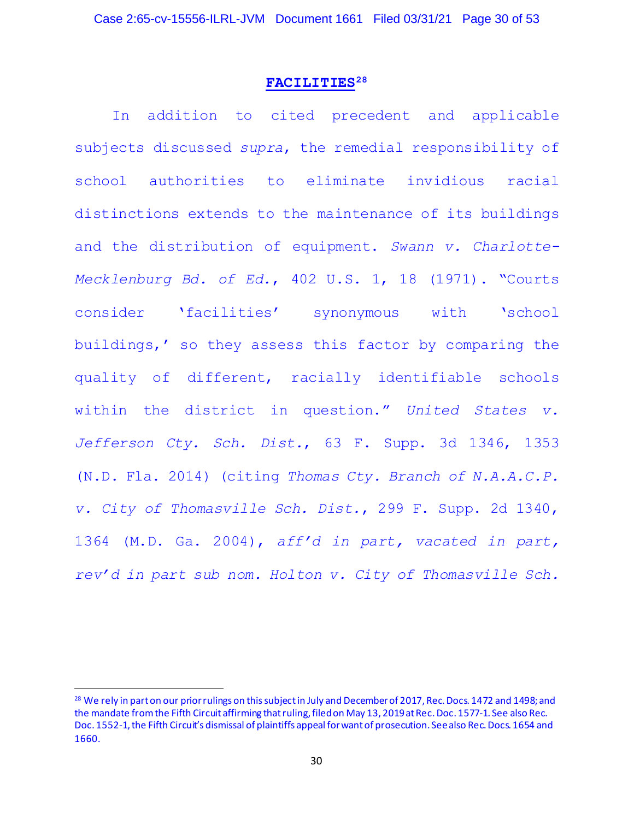#### **FACILITIES28**

In addition to cited precedent and applicable subjects discussed *supra*, the remedial responsibility of school authorities to eliminate invidious racial distinctions extends to the maintenance of its buildings and the distribution of equipment. *Swann v. Charlotte-Mecklenburg Bd. of Ed.*, 402 U.S. 1, 18 (1971). "Courts consider 'facilities' synonymous with 'school buildings,' so they assess this factor by comparing the quality of different, racially identifiable schools within the district in question." *United States v. Jefferson Cty. Sch. Dist.*, 63 F. Supp. 3d 1346, 1353 (N.D. Fla. 2014) (citing *Thomas Cty. Branch of N.A.A.C.P. v. City of Thomasville Sch. Dist.*, 299 F. Supp. 2d 1340, 1364 (M.D. Ga. 2004), *aff'd in part, vacated in part, rev'd in part sub nom. Holton v. City of Thomasville Sch.*

<sup>&</sup>lt;sup>28</sup> We rely in part on our prior rulings on this subject in July and December of 2017, Rec. Docs. 1472 and 1498; and the mandate from the Fifth Circuit affirming that ruling, filed on May 13, 2019at Rec. Doc. 1577-1. See also Rec. Doc. 1552-1, the Fifth Circuit's dismissal of plaintiffs appeal for want of prosecution. See also Rec. Docs. 1654 and 1660.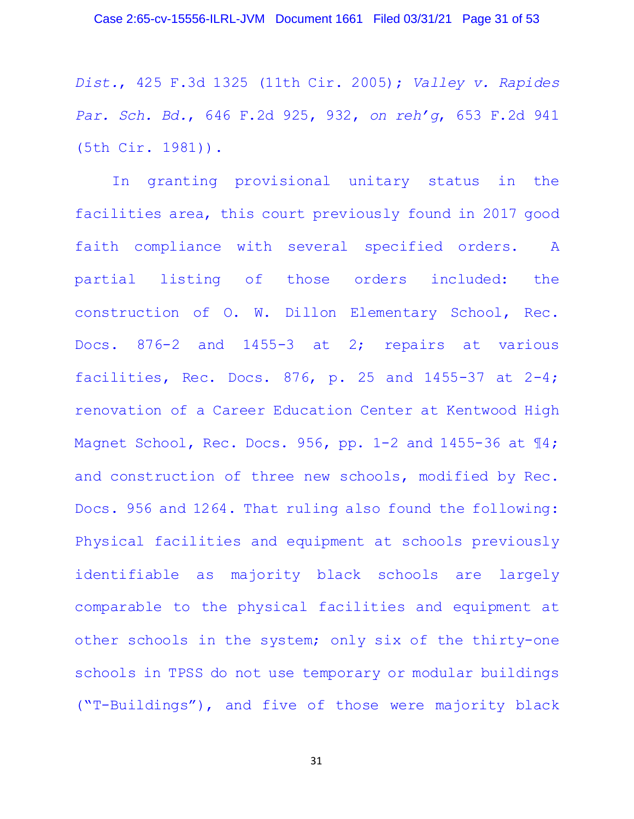*Dist.*, 425 F.3d 1325 (11th Cir. 2005); *Valley v. Rapides Par. Sch. Bd.*, 646 F.2d 925, 932, *on reh'g*, 653 F.2d 941 (5th Cir. 1981)).

In granting provisional unitary status in the facilities area, this court previously found in 2017 good faith compliance with several specified orders. A partial listing of those orders included: the construction of O. W. Dillon Elementary School, Rec. Docs. 876-2 and 1455-3 at 2; repairs at various facilities, Rec. Docs. 876, p. 25 and 1455-37 at 2-4; renovation of a Career Education Center at Kentwood High Magnet School, Rec. Docs. 956, pp. 1-2 and 1455-36 at 14; and construction of three new schools, modified by Rec. Docs. 956 and 1264. That ruling also found the following: Physical facilities and equipment at schools previously identifiable as majority black schools are largely comparable to the physical facilities and equipment at other schools in the system; only six of the thirty-one schools in TPSS do not use temporary or modular buildings ("T-Buildings"), and five of those were majority black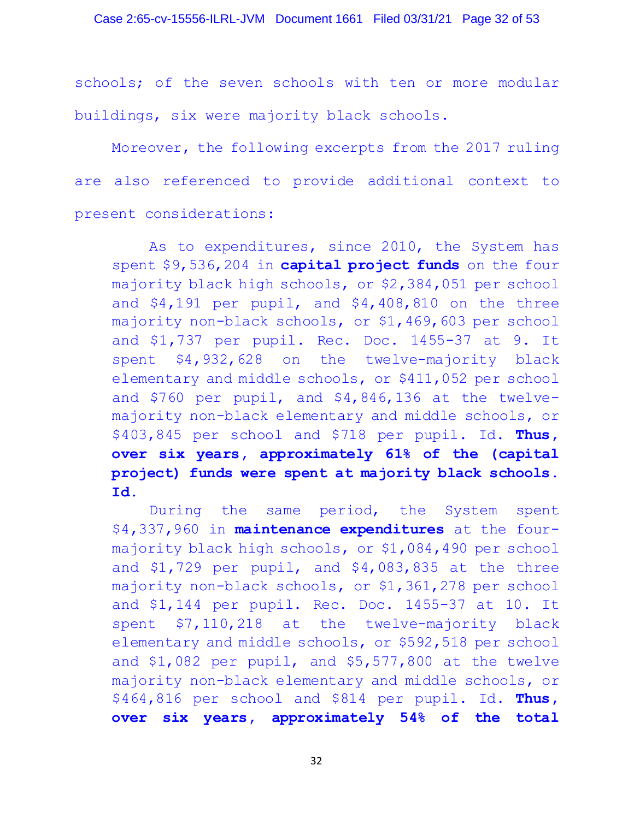schools; of the seven schools with ten or more modular buildings, six were majority black schools.

Moreover, the following excerpts from the 2017 ruling are also referenced to provide additional context to present considerations:

As to expenditures, since 2010, the System has spent \$9,536,204 in **capital project funds** on the four majority black high schools, or \$2,384,051 per school and \$4,191 per pupil, and \$4,408,810 on the three majority non-black schools, or \$1,469,603 per school and \$1,737 per pupil. Rec. Doc. 1455-37 at 9. It spent \$4,932,628 on the twelve-majority black elementary and middle schools, or \$411,052 per school and \$760 per pupil, and \$4,846,136 at the twelvemajority non-black elementary and middle schools, or \$403,845 per school and \$718 per pupil. Id. **Thus, over six years, approximately 61% of the (capital project) funds were spent at majority black schools. Id.**

During the same period, the System spent \$4,337,960 in **maintenance expenditures** at the fourmajority black high schools, or \$1,084,490 per school and \$1,729 per pupil, and \$4,083,835 at the three majority non-black schools, or \$1,361,278 per school and \$1,144 per pupil. Rec. Doc. 1455-37 at 10. It spent \$7,110,218 at the twelve-majority black elementary and middle schools, or \$592,518 per school and \$1,082 per pupil, and \$5,577,800 at the twelve majority non-black elementary and middle schools, or \$464,816 per school and \$814 per pupil. Id. **Thus, over six years, approximately 54% of the total**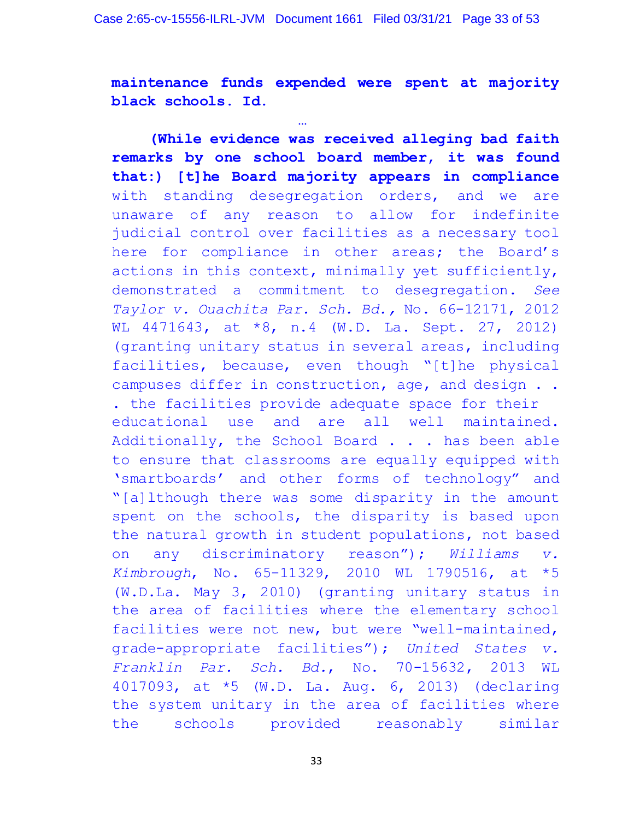**maintenance funds expended were spent at majority black schools. Id.**

… **(While evidence was received alleging bad faith remarks by one school board member, it was found that:) [t]he Board majority appears in compliance** with standing desegregation orders, and we are unaware of any reason to allow for indefinite judicial control over facilities as a necessary tool here for compliance in other areas; the Board's actions in this context, minimally yet sufficiently, demonstrated a commitment to desegregation. *See Taylor v. Ouachita Par. Sch. Bd.,* No. 66-12171, 2012 WL 4471643, at \*8, n.4 (W.D. La. Sept. 27, 2012) (granting unitary status in several areas, including facilities, because, even though "[t]he physical campuses differ in construction, age, and design . . . the facilities provide adequate space for their educational use and are all well maintained. Additionally, the School Board . . . has been able to ensure that classrooms are equally equipped with 'smartboards' and other forms of technology" and "[a]lthough there was some disparity in the amount spent on the schools, the disparity is based upon the natural growth in student populations, not based on any discriminatory reason"); *Williams v. Kimbrough*, No. 65-11329, 2010 WL 1790516, at \*5 (W.D.La. May 3, 2010) (granting unitary status in the area of facilities where the elementary school facilities were not new, but were "well-maintained, grade-appropriate facilities"); *United States v. Franklin Par. Sch. Bd.*, No. 70-15632, 2013 WL 4017093, at \*5 (W.D. La. Aug. 6, 2013) (declaring the system unitary in the area of facilities where the schools provided reasonably similar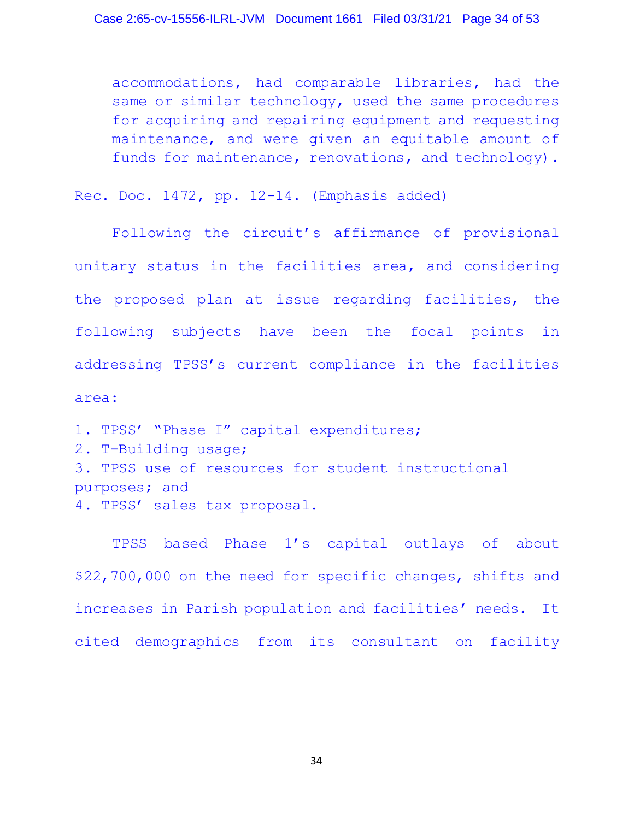accommodations, had comparable libraries, had the same or similar technology, used the same procedures for acquiring and repairing equipment and requesting maintenance, and were given an equitable amount of funds for maintenance, renovations, and technology).

Rec. Doc. 1472, pp. 12-14. (Emphasis added)

Following the circuit's affirmance of provisional unitary status in the facilities area, and considering the proposed plan at issue regarding facilities, the following subjects have been the focal points in addressing TPSS's current compliance in the facilities area:

1. TPSS' "Phase I" capital expenditures; 2. T-Building usage; 3. TPSS use of resources for student instructional purposes; and 4. TPSS' sales tax proposal.

TPSS based Phase 1's capital outlays of about \$22,700,000 on the need for specific changes, shifts and increases in Parish population and facilities' needs. It cited demographics from its consultant on facility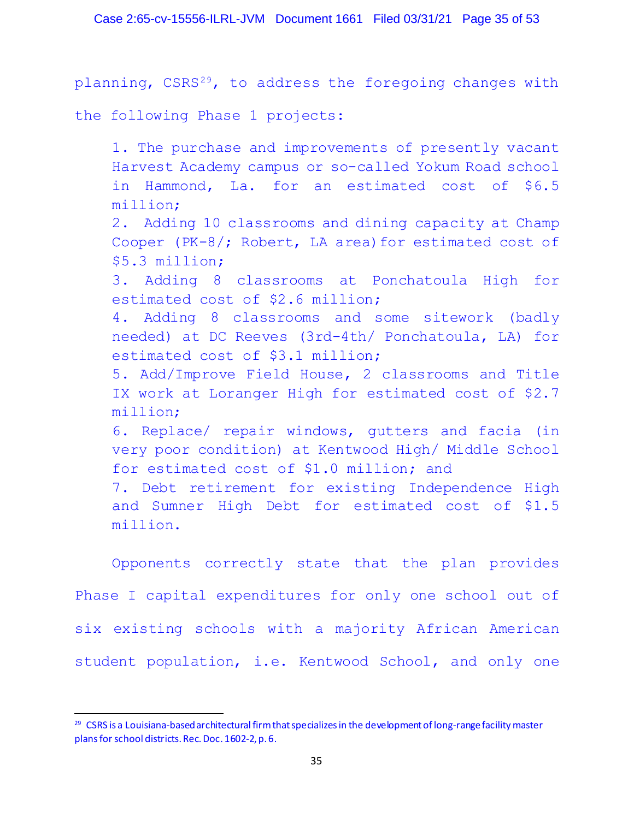planning, CSRS<sup>29</sup>, to address the foregoing changes with

the following Phase 1 projects:

1. The purchase and improvements of presently vacant Harvest Academy campus or so-called Yokum Road school in Hammond, La. for an estimated cost of \$6.5 million; 2. Adding 10 classrooms and dining capacity at Champ Cooper (PK-8/; Robert, LA area) for estimated cost of \$5.3 million; 3. Adding 8 classrooms at Ponchatoula High for estimated cost of \$2.6 million; 4. Adding 8 classrooms and some sitework (badly needed) at DC Reeves (3rd-4th/ Ponchatoula, LA) for estimated cost of \$3.1 million; 5. Add/Improve Field House, 2 classrooms and Title IX work at Loranger High for estimated cost of \$2.7 million; 6. Replace/ repair windows, gutters and facia (in very poor condition) at Kentwood High/ Middle School for estimated cost of \$1.0 million; and 7. Debt retirement for existing Independence High and Sumner High Debt for estimated cost of \$1.5 million.

Opponents correctly state that the plan provides Phase I capital expenditures for only one school out of six existing schools with a majority African American student population, i.e. Kentwood School, and only one

<sup>&</sup>lt;sup>29</sup> CSRS is a Louisiana-based architectural firm that specializes in the development of long-range facility master plans for school districts. Rec. Doc. 1602-2, p. 6.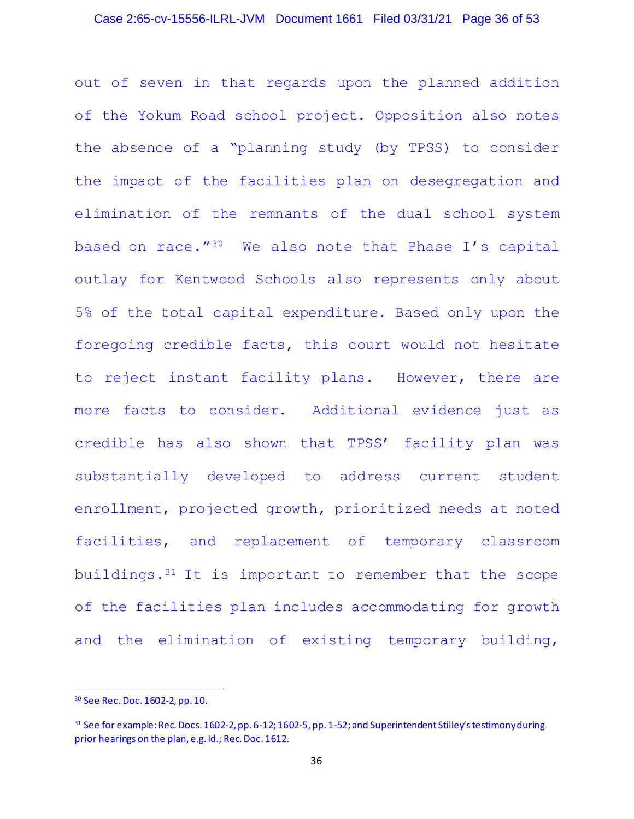### Case 2:65-cv-15556-ILRL-JVM Document 1661 Filed 03/31/21 Page 36 of 53

out of seven in that regards upon the planned addition of the Yokum Road school project. Opposition also notes the absence of a "planning study (by TPSS) to consider the impact of the facilities plan on desegregation and elimination of the remnants of the dual school system based on race."30 We also note that Phase I's capital outlay for Kentwood Schools also represents only about 5% of the total capital expenditure. Based only upon the foregoing credible facts, this court would not hesitate to reject instant facility plans. However, there are more facts to consider. Additional evidence just as credible has also shown that TPSS' facility plan was substantially developed to address current student enrollment, projected growth, prioritized needs at noted facilities, and replacement of temporary classroom buildings.31 It is important to remember that the scope of the facilities plan includes accommodating for growth and the elimination of existing temporary building,

<sup>30</sup> See Rec. Doc. 1602-2, pp. 10.

<sup>31</sup> See for example: Rec. Docs. 1602-2, pp. 6-12; 1602-5, pp. 1-52; and Superintendent Stilley's testimony during prior hearings on the plan, e.g. Id.; Rec. Doc. 1612.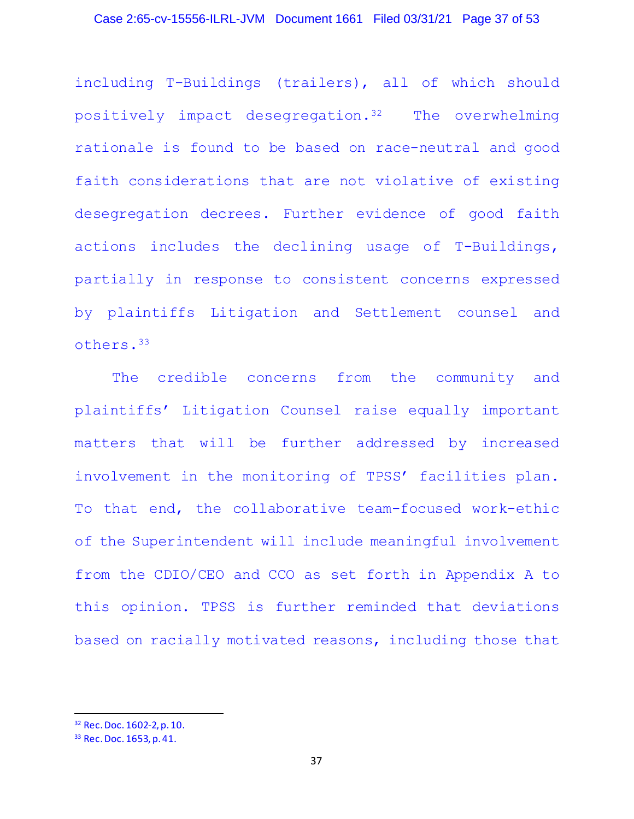including T-Buildings (trailers), all of which should positively impact desegregation.32 The overwhelming rationale is found to be based on race-neutral and good faith considerations that are not violative of existing desegregation decrees. Further evidence of good faith actions includes the declining usage of T-Buildings, partially in response to consistent concerns expressed by plaintiffs Litigation and Settlement counsel and others.33

The credible concerns from the community and plaintiffs' Litigation Counsel raise equally important matters that will be further addressed by increased involvement in the monitoring of TPSS' facilities plan. To that end, the collaborative team-focused work-ethic of the Superintendent will include meaningful involvement from the CDIO/CEO and CCO as set forth in Appendix A to this opinion. TPSS is further reminded that deviations based on racially motivated reasons, including those that

<sup>32</sup> Rec. Doc. 1602-2, p. 10.

<sup>33</sup> Rec. Doc. 1653, p. 41.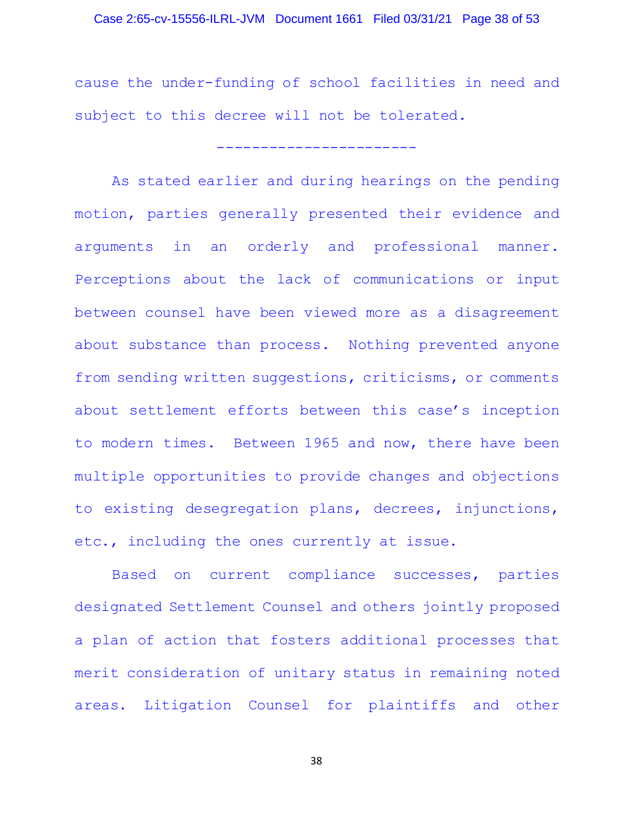### Case 2:65-cv-15556-ILRL-JVM Document 1661 Filed 03/31/21 Page 38 of 53

cause the under-funding of school facilities in need and subject to this decree will not be tolerated.

-----------------------

As stated earlier and during hearings on the pending motion, parties generally presented their evidence and arguments in an orderly and professional manner. Perceptions about the lack of communications or input between counsel have been viewed more as a disagreement about substance than process. Nothing prevented anyone from sending written suggestions, criticisms, or comments about settlement efforts between this case's inception to modern times. Between 1965 and now, there have been multiple opportunities to provide changes and objections to existing desegregation plans, decrees, injunctions, etc., including the ones currently at issue.

Based on current compliance successes, parties designated Settlement Counsel and others jointly proposed a plan of action that fosters additional processes that merit consideration of unitary status in remaining noted areas. Litigation Counsel for plaintiffs and other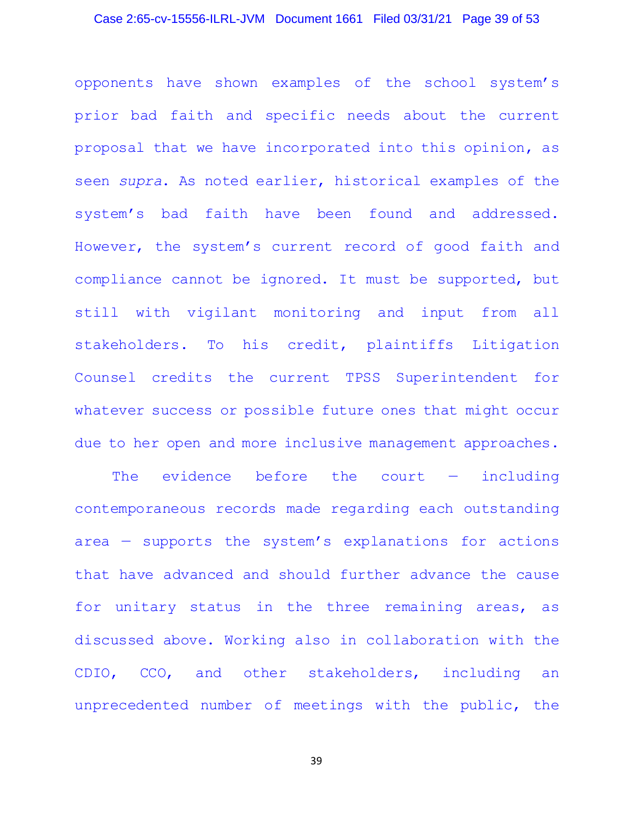# Case 2:65-cv-15556-ILRL-JVM Document 1661 Filed 03/31/21 Page 39 of 53

opponents have shown examples of the school system's prior bad faith and specific needs about the current proposal that we have incorporated into this opinion, as seen *supra*. As noted earlier, historical examples of the system's bad faith have been found and addressed. However, the system's current record of good faith and compliance cannot be ignored. It must be supported, but still with vigilant monitoring and input from all stakeholders. To his credit, plaintiffs Litigation Counsel credits the current TPSS Superintendent for whatever success or possible future ones that might occur due to her open and more inclusive management approaches.

The evidence before the court — including contemporaneous records made regarding each outstanding area — supports the system's explanations for actions that have advanced and should further advance the cause for unitary status in the three remaining areas, as discussed above. Working also in collaboration with the CDIO, CCO, and other stakeholders, including an unprecedented number of meetings with the public, the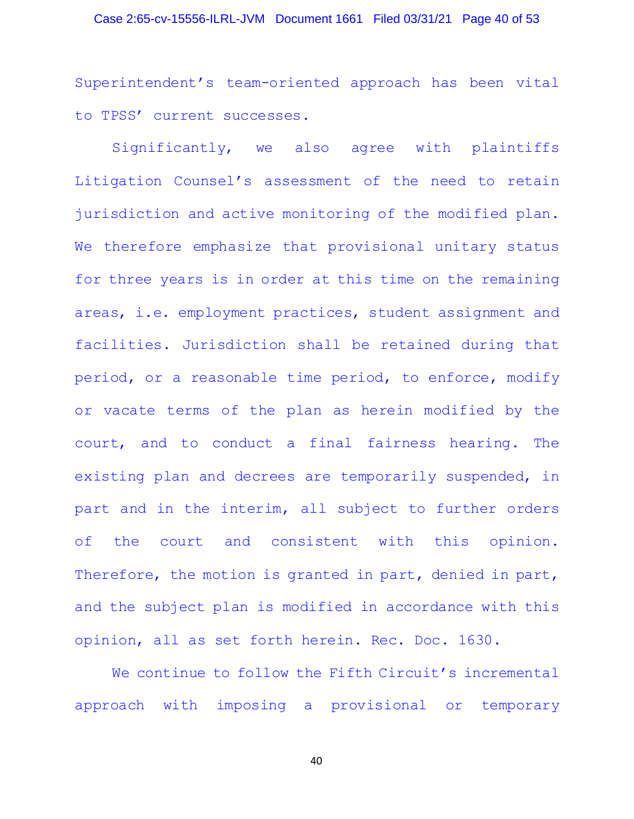### Case 2:65-cv-15556-ILRL-JVM Document 1661 Filed 03/31/21 Page 40 of 53

Superintendent's team-oriented approach has been vital to TPSS' current successes.

Significantly, we also agree with plaintiffs Litigation Counsel's assessment of the need to retain jurisdiction and active monitoring of the modified plan. We therefore emphasize that provisional unitary status for three years is in order at this time on the remaining areas, i.e. employment practices, student assignment and facilities. Jurisdiction shall be retained during that period, or a reasonable time period, to enforce, modify or vacate terms of the plan as herein modified by the court, and to conduct a final fairness hearing. The existing plan and decrees are temporarily suspended, in part and in the interim, all subject to further orders of the court and consistent with this opinion. Therefore, the motion is granted in part, denied in part, and the subject plan is modified in accordance with this opinion, all as set forth herein. Rec. Doc. 1630.

We continue to follow the Fifth Circuit's incremental approach with imposing a provisional or temporary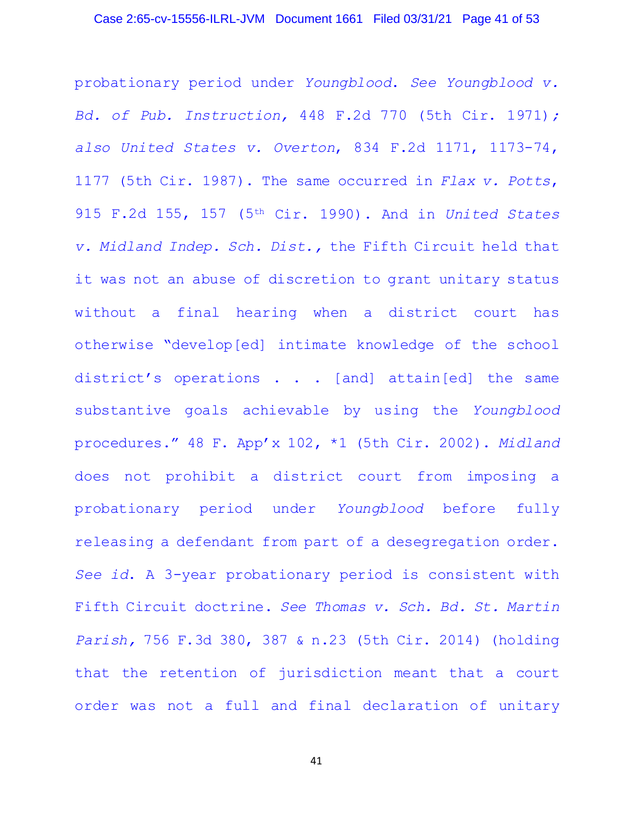probationary period under *Youngblood*. *See Youngblood v. Bd. of Pub. Instruction,* 448 F.2d 770 (5th Cir. 1971)*; also United States v. Overton*, 834 F.2d 1171, 1173-74, 1177 (5th Cir. 1987). The same occurred in *Flax v. Potts*, 915 F.2d 155, 157 (5th Cir. 1990). And in *United States v. Midland Indep. Sch. Dist.,* the Fifth Circuit held that it was not an abuse of discretion to grant unitary status without a final hearing when a district court has otherwise "develop[ed] intimate knowledge of the school district's operations . . . [and] attain[ed] the same substantive goals achievable by using the *Youngblood* procedures." 48 F. App'x 102, \*1 (5th Cir. 2002). *Midland* does not prohibit a district court from imposing a probationary period under *Youngblood* before fully releasing a defendant from part of a desegregation order. *See id*. A 3-year probationary period is consistent with Fifth Circuit doctrine. *See Thomas v. Sch. Bd. St. Martin Parish,* 756 F.3d 380, 387 & n.23 (5th Cir. 2014) (holding that the retention of jurisdiction meant that a court order was not a full and final declaration of unitary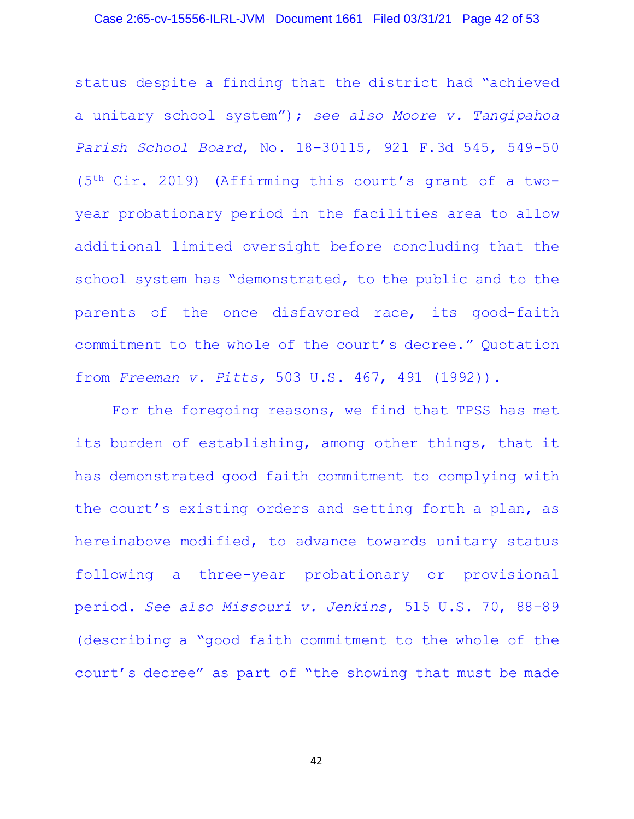### Case 2:65-cv-15556-ILRL-JVM Document 1661 Filed 03/31/21 Page 42 of 53

status despite a finding that the district had "achieved a unitary school system"); *see also Moore v. Tangipahoa Parish School Board*, No. 18-30115, 921 F.3d 545, 549-50 (5th Cir. 2019) (Affirming this court's grant of a twoyear probationary period in the facilities area to allow additional limited oversight before concluding that the school system has "demonstrated, to the public and to the parents of the once disfavored race, its good-faith commitment to the whole of the court's decree." Quotation from *Freeman v. Pitts,* 503 U.S. 467, 491 (1992)).

For the foregoing reasons, we find that TPSS has met its burden of establishing, among other things, that it has demonstrated good faith commitment to complying with the court's existing orders and setting forth a plan, as hereinabove modified, to advance towards unitary status following a three-year probationary or provisional period. *See also Missouri v. Jenkins*, 515 U.S. 70, 88–89 (describing a "good faith commitment to the whole of the court's decree" as part of "the showing that must be made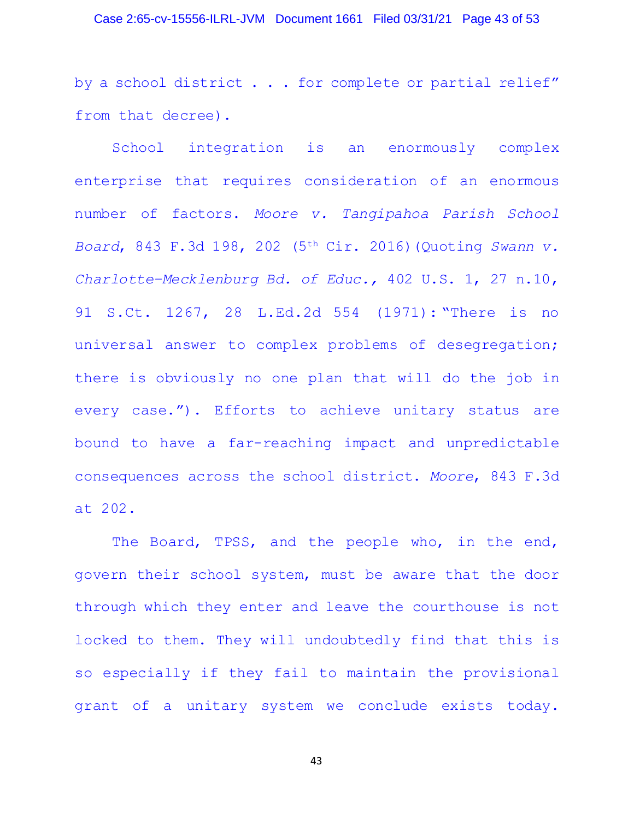#### Case 2:65-cv-15556-ILRL-JVM Document 1661 Filed 03/31/21 Page 43 of 53

by a school district . . . for complete or partial relief" from that decree).

School integration is an enormously complex enterprise that requires consideration of an enormous number of factors. *Moore v. Tangipahoa Parish School Board*, 843 F.3d 198, 202 (5th Cir. 2016)(Quoting *Swann v. Charlotte–Mecklenburg Bd. of Educ.,* 402 U.S. 1, 27 n.10, 91 S.Ct. 1267, 28 L.Ed.2d 554 (1971): "There is no universal answer to complex problems of desegregation; there is obviously no one plan that will do the job in every case."). Efforts to achieve unitary status are bound to have a far-reaching impact and unpredictable consequences across the school district. *Moore*, 843 F.3d at 202.

The Board, TPSS, and the people who, in the end, govern their school system, must be aware that the door through which they enter and leave the courthouse is not locked to them. They will undoubtedly find that this is so especially if they fail to maintain the provisional grant of a unitary system we conclude exists today.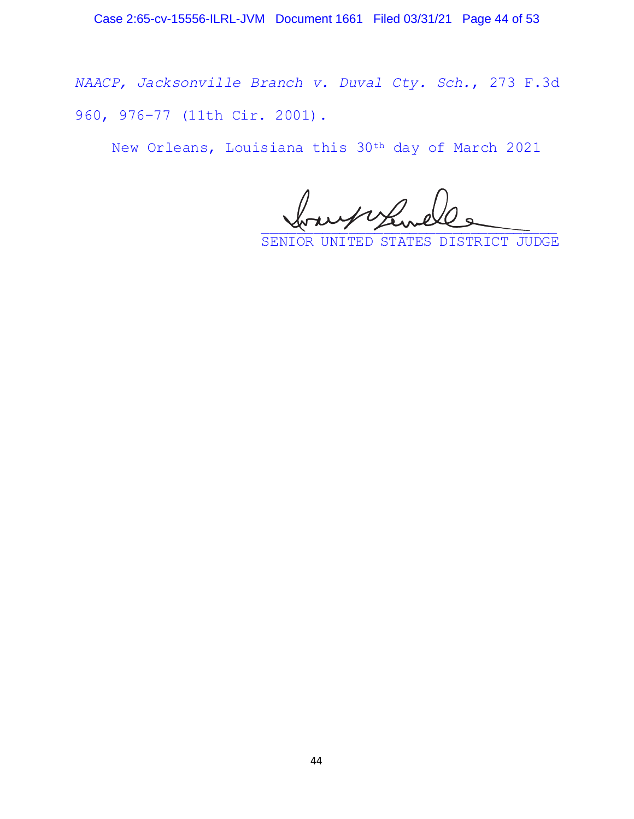*NAACP, Jacksonville Branch v. Duval Cty. Sch.*, 273 F.3d 960, 976–77 (11th Cir. 2001).

New Orleans, Louisiana this 30th day of March 2021

au noy service

SENIOR UNITED STATES DISTRICT JUDGE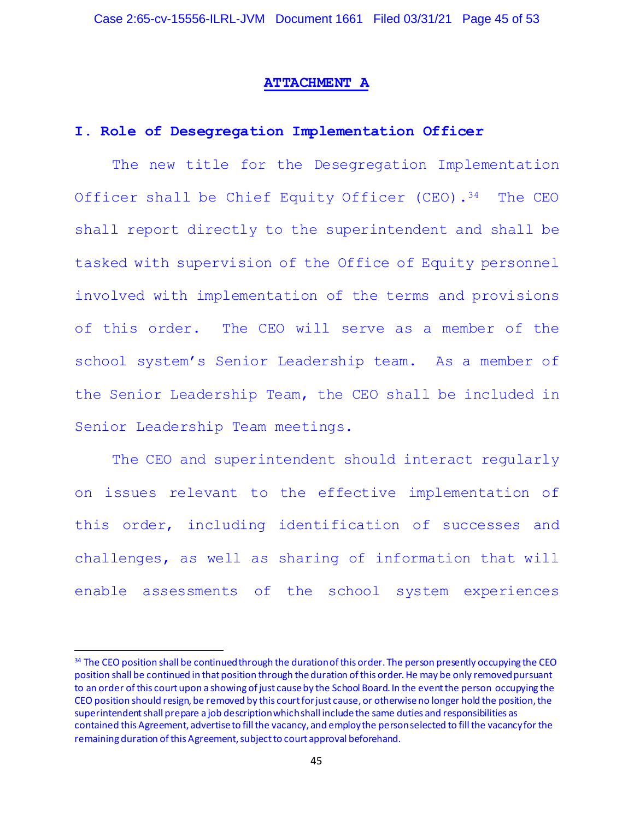#### **ATTACHMENT A**

### **I. Role of Desegregation Implementation Officer**

The new title for the Desegregation Implementation Officer shall be Chief Equity Officer (CEO).<sup>34</sup> The CEO shall report directly to the superintendent and shall be tasked with supervision of the Office of Equity personnel involved with implementation of the terms and provisions of this order. The CEO will serve as a member of the school system's Senior Leadership team. As a member of the Senior Leadership Team, the CEO shall be included in Senior Leadership Team meetings.

The CEO and superintendent should interact regularly on issues relevant to the effective implementation of this order, including identification of successes and challenges, as well as sharing of information that will enable assessments of the school system experiences

<sup>&</sup>lt;sup>34</sup> The CEO position shall be continued through the duration of this order. The person presently occupying the CEO position shall be continued in that position through the duration of this order. He may be only removed pursuant to an order of this court upon a showing of just cause by the School Board. In the event the person occupying the CEO position should resign, be removed by this court for just cause, or otherwise no longer hold the position, the superintendent shall prepare a job description which shall include the same duties and responsibilities as contained this Agreement, advertise to fill the vacancy, and employ the person selected to fill the vacancy for the remaining duration of this Agreement, subject to court approval beforehand.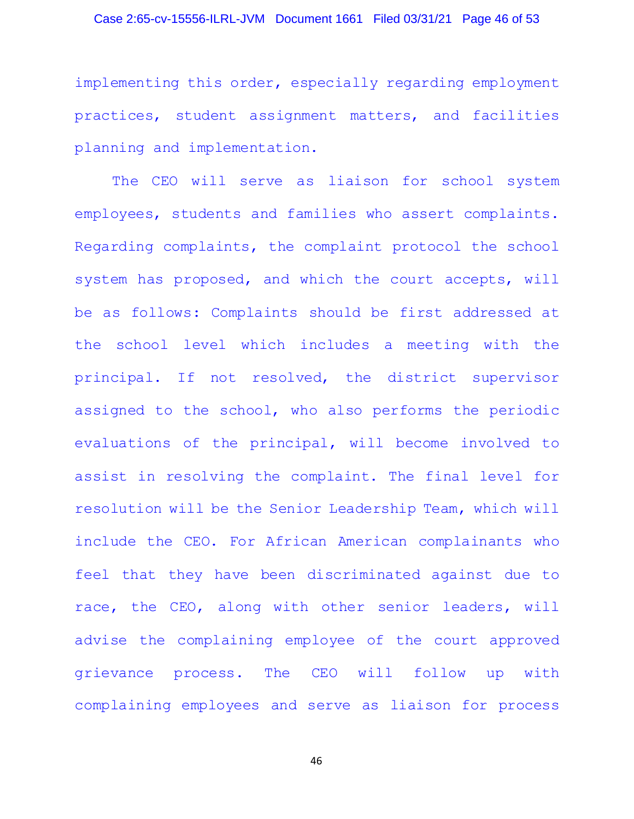# Case 2:65-cv-15556-ILRL-JVM Document 1661 Filed 03/31/21 Page 46 of 53

implementing this order, especially regarding employment practices, student assignment matters, and facilities planning and implementation.

The CEO will serve as liaison for school system employees, students and families who assert complaints. Regarding complaints, the complaint protocol the school system has proposed, and which the court accepts, will be as follows: Complaints should be first addressed at the school level which includes a meeting with the principal. If not resolved, the district supervisor assigned to the school, who also performs the periodic evaluations of the principal, will become involved to assist in resolving the complaint. The final level for resolution will be the Senior Leadership Team, which will include the CEO. For African American complainants who feel that they have been discriminated against due to race, the CEO, along with other senior leaders, will advise the complaining employee of the court approved grievance process. The CEO will follow up with complaining employees and serve as liaison for process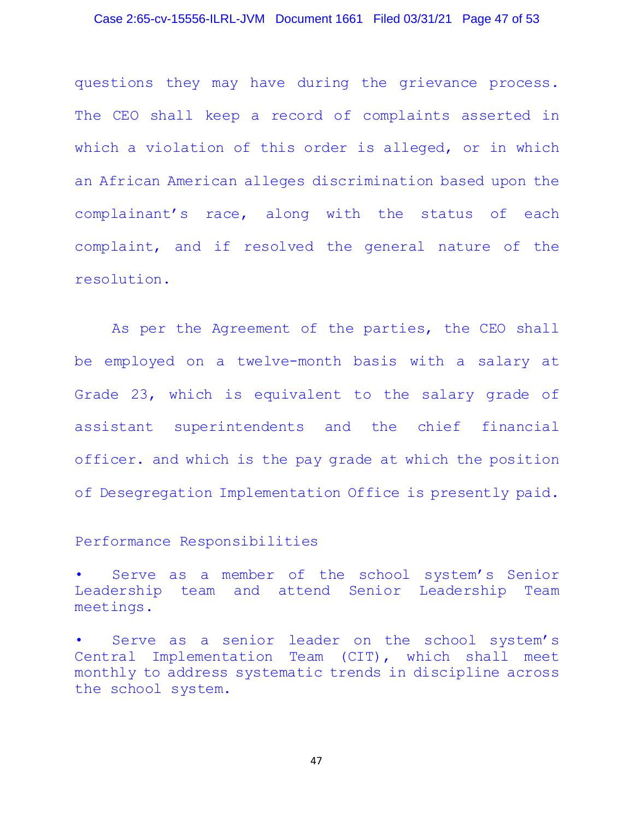### Case 2:65-cv-15556-ILRL-JVM Document 1661 Filed 03/31/21 Page 47 of 53

questions they may have during the grievance process. The CEO shall keep a record of complaints asserted in which a violation of this order is alleged, or in which an African American alleges discrimination based upon the complainant's race, along with the status of each complaint, and if resolved the general nature of the resolution.

As per the Agreement of the parties, the CEO shall be employed on a twelve-month basis with a salary at Grade 23, which is equivalent to the salary grade of assistant superintendents and the chief financial officer. and which is the pay grade at which the position of Desegregation Implementation Office is presently paid.

## Performance Responsibilities

Serve as a member of the school system's Senior Leadership team and attend Senior Leadership Team meetings.

Serve as a senior leader on the school system's Central Implementation Team (CIT), which shall meet monthly to address systematic trends in discipline across the school system.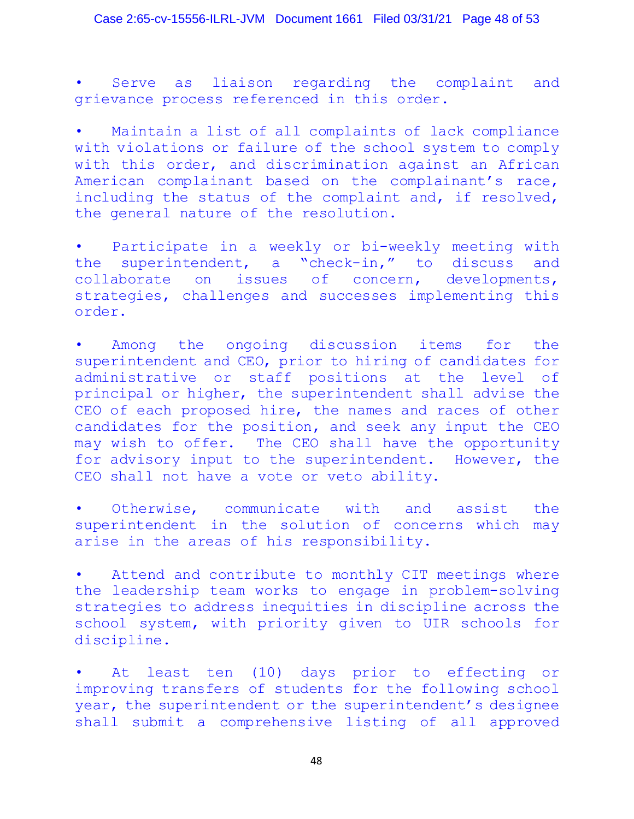Case 2:65-cv-15556-ILRL-JVM Document 1661 Filed 03/31/21 Page 48 of 53

Serve as liaison regarding the complaint and grievance process referenced in this order.

Maintain a list of all complaints of lack compliance with violations or failure of the school system to comply with this order, and discrimination against an African American complainant based on the complainant's race, including the status of the complaint and, if resolved, the general nature of the resolution.

• Participate in a weekly or bi-weekly meeting with the superintendent, a "check-in," to discuss and collaborate on issues of concern, developments, strategies, challenges and successes implementing this order.

Among the ongoing discussion items for the superintendent and CEO, prior to hiring of candidates for<br>administrative or staff positions at the level of administrative or staff positions at the level principal or higher, the superintendent shall advise the CEO of each proposed hire, the names and races of other candidates for the position, and seek any input the CEO may wish to offer. The CEO shall have the opportunity for advisory input to the superintendent. However, the CEO shall not have a vote or veto ability.

• Otherwise, communicate with and assist the superintendent in the solution of concerns which may arise in the areas of his responsibility.

• Attend and contribute to monthly CIT meetings where the leadership team works to engage in problem-solving strategies to address inequities in discipline across the school system, with priority given to UIR schools for discipline.

At least ten (10) days prior to effecting or improving transfers of students for the following school year, the superintendent or the superintendent's designee shall submit a comprehensive listing of all approved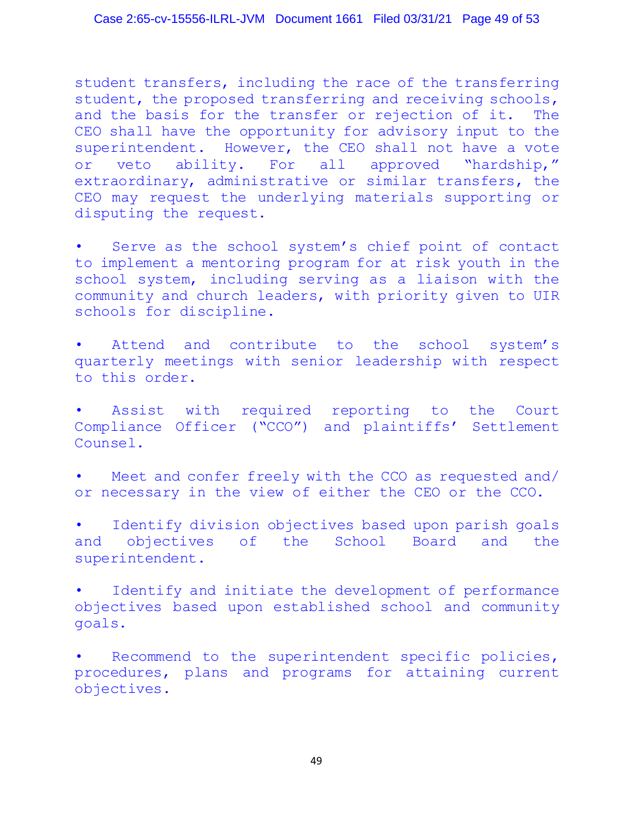student transfers, including the race of the transferring student, the proposed transferring and receiving schools,<br>and the basis for the transfer or rejection of it. The and the basis for the transfer or rejection of it. CEO shall have the opportunity for advisory input to the superintendent. However, the CEO shall not have a vote or veto ability. For all approved "hardship," extraordinary, administrative or similar transfers, the CEO may request the underlying materials supporting or disputing the request.

Serve as the school system's chief point of contact to implement a mentoring program for at risk youth in the school system, including serving as a liaison with the community and church leaders, with priority given to UIR schools for discipline.

Attend and contribute to the school system's quarterly meetings with senior leadership with respect to this order.

Assist with required reporting to the Court Compliance Officer ("CCO") and plaintiffs' Settlement Counsel.

Meet and confer freely with the CCO as requested and/ or necessary in the view of either the CEO or the CCO.

• Identify division objectives based upon parish goals and objectives of the School Board and the superintendent.

• Identify and initiate the development of performance objectives based upon established school and community goals.

• Recommend to the superintendent specific policies, procedures, plans and programs for attaining current objectives.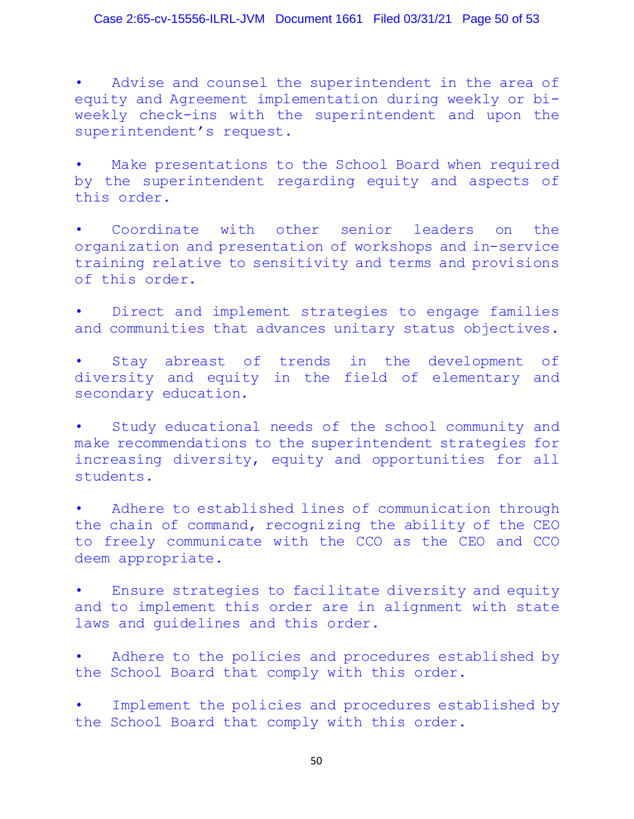## Case 2:65-cv-15556-ILRL-JVM Document 1661 Filed 03/31/21 Page 50 of 53

Advise and counsel the superintendent in the area of equity and Agreement implementation during weekly or biweekly check-ins with the superintendent and upon the superintendent's request.

Make presentations to the School Board when required by the superintendent regarding equity and aspects of this order.

Coordinate with other senior leaders on the organization and presentation of workshops and in-service training relative to sensitivity and terms and provisions of this order.

Direct and implement strategies to engage families and communities that advances unitary status objectives.

Stay abreast of trends in the development of diversity and equity in the field of elementary and secondary education.

Study educational needs of the school community and make recommendations to the superintendent strategies for increasing diversity, equity and opportunities for all students.

Adhere to established lines of communication through the chain of command, recognizing the ability of the CEO to freely communicate with the CCO as the CEO and CCO deem appropriate.

• Ensure strategies to facilitate diversity and equity and to implement this order are in alignment with state laws and guidelines and this order.

Adhere to the policies and procedures established by the School Board that comply with this order.

Implement the policies and procedures established by the School Board that comply with this order.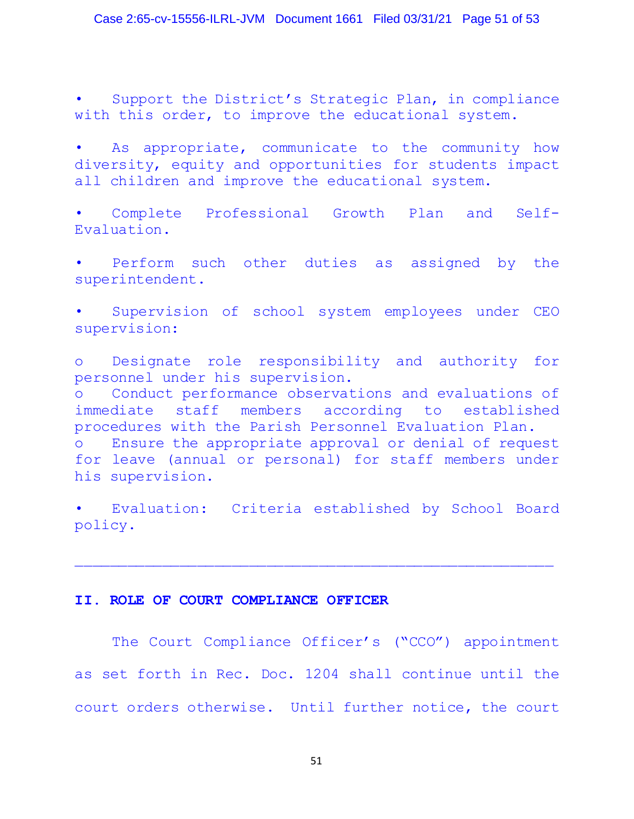Support the District's Strategic Plan, in compliance with this order, to improve the educational system.

As appropriate, communicate to the community how diversity, equity and opportunities for students impact all children and improve the educational system.

• Complete Professional Growth Plan and Self-Evaluation.

Perform such other duties as assigned by the superintendent.

Supervision of school system employees under CEO supervision:

o Designate role responsibility and authority for personnel under his supervision. o Conduct performance observations and evaluations of staff members according to established procedures with the Parish Personnel Evaluation Plan. o Ensure the appropriate approval or denial of request for leave (annual or personal) for staff members under his supervision.

Evaluation: Criteria established by School Board policy.

\_\_\_\_\_\_\_\_\_\_\_\_\_\_\_\_\_\_\_\_\_\_\_\_\_\_\_\_\_\_\_\_\_\_\_\_\_\_\_\_\_\_\_\_\_\_\_\_\_\_\_\_\_\_\_

## **II. ROLE OF COURT COMPLIANCE OFFICER**

The Court Compliance Officer's ("CCO") appointment as set forth in Rec. Doc. 1204 shall continue until the court orders otherwise. Until further notice, the court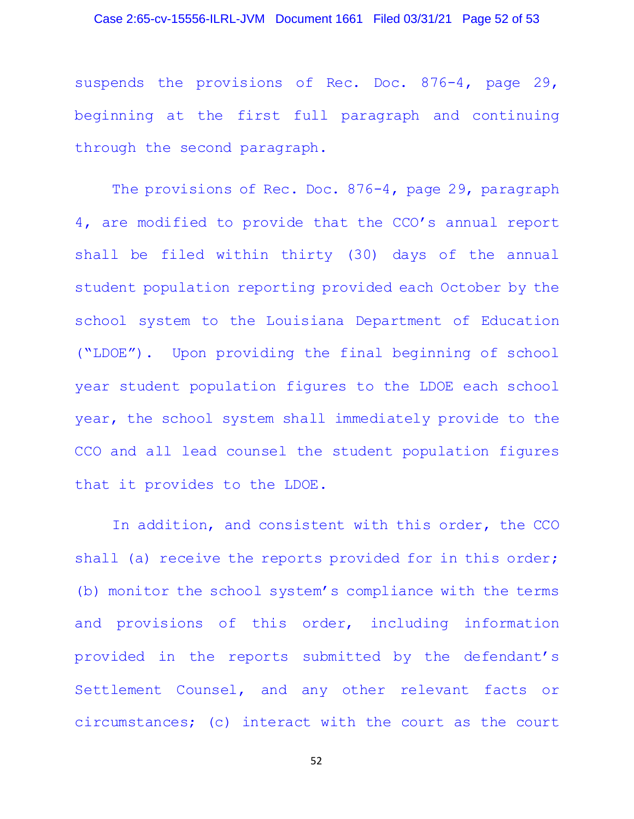### Case 2:65-cv-15556-ILRL-JVM Document 1661 Filed 03/31/21 Page 52 of 53

suspends the provisions of Rec. Doc. 876-4, page 29, beginning at the first full paragraph and continuing through the second paragraph.

The provisions of Rec. Doc. 876-4, page 29, paragraph 4, are modified to provide that the CCO's annual report shall be filed within thirty (30) days of the annual student population reporting provided each October by the school system to the Louisiana Department of Education ("LDOE"). Upon providing the final beginning of school year student population figures to the LDOE each school year, the school system shall immediately provide to the CCO and all lead counsel the student population figures that it provides to the LDOE.

In addition, and consistent with this order, the CCO shall (a) receive the reports provided for in this order; (b) monitor the school system's compliance with the terms and provisions of this order, including information provided in the reports submitted by the defendant's Settlement Counsel, and any other relevant facts or circumstances; (c) interact with the court as the court